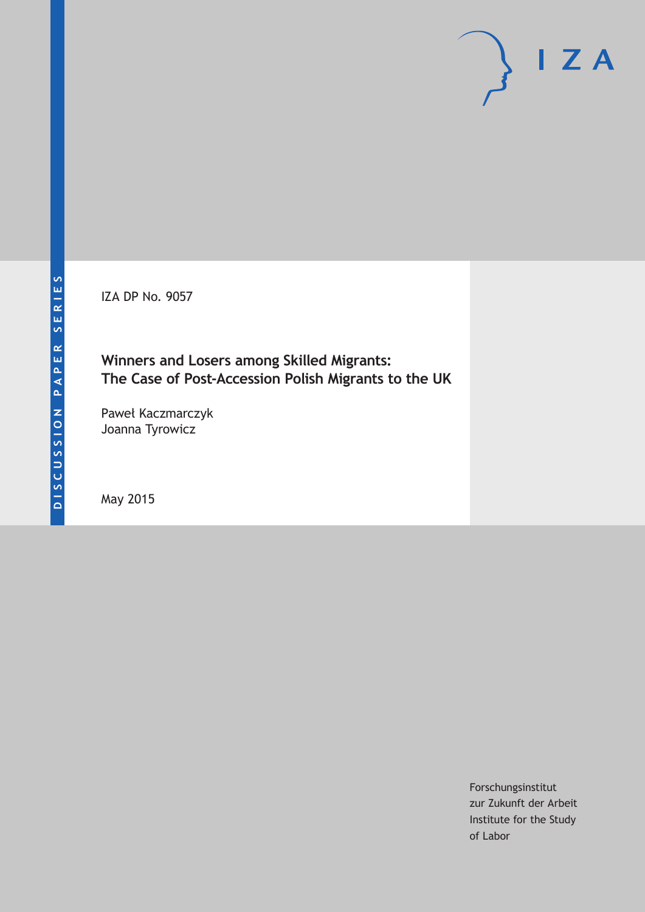IZA DP No. 9057

## **Winners and Losers among Skilled Migrants: The Case of Post-Accession Polish Migrants to the UK**

Paweł Kaczmarczyk Joanna Tyrowicz

May 2015

Forschungsinstitut zur Zukunft der Arbeit Institute for the Study of Labor

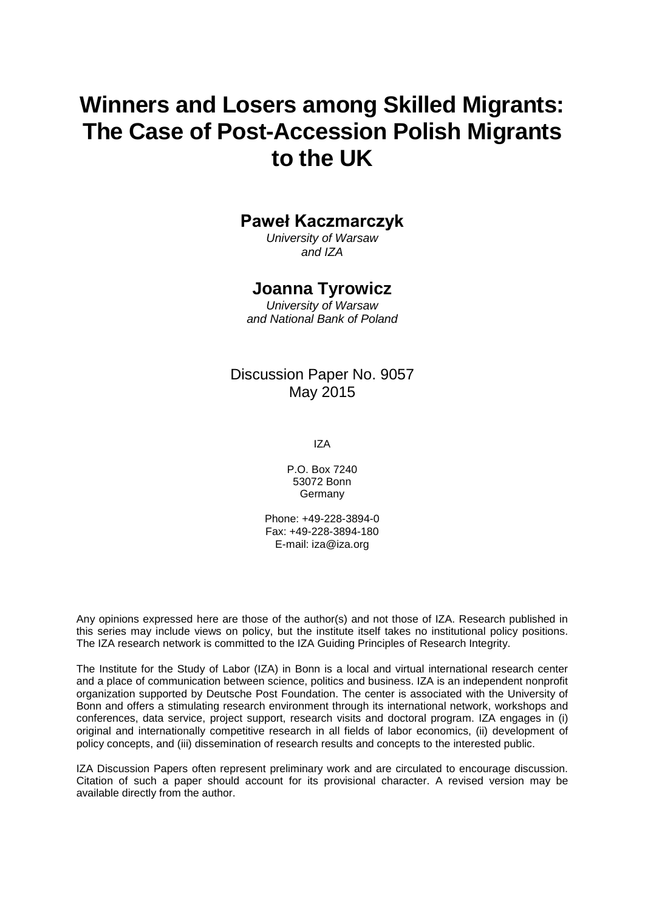# **Winners and Losers among Skilled Migrants: The Case of Post-Accession Polish Migrants to the UK**

## **Paweł Kaczmarczyk**

*University of Warsaw and IZA*

### **Joanna Tyrowicz**

*University of Warsaw and National Bank of Poland*

### Discussion Paper No. 9057 May 2015

IZA

P.O. Box 7240 53072 Bonn Germany

Phone: +49-228-3894-0 Fax: +49-228-3894-180 E-mail: iza@iza.org

Any opinions expressed here are those of the author(s) and not those of IZA. Research published in this series may include views on policy, but the institute itself takes no institutional policy positions. The IZA research network is committed to the IZA Guiding Principles of Research Integrity.

The Institute for the Study of Labor (IZA) in Bonn is a local and virtual international research center and a place of communication between science, politics and business. IZA is an independent nonprofit organization supported by Deutsche Post Foundation. The center is associated with the University of Bonn and offers a stimulating research environment through its international network, workshops and conferences, data service, project support, research visits and doctoral program. IZA engages in (i) original and internationally competitive research in all fields of labor economics, (ii) development of policy concepts, and (iii) dissemination of research results and concepts to the interested public.

IZA Discussion Papers often represent preliminary work and are circulated to encourage discussion. Citation of such a paper should account for its provisional character. A revised version may be available directly from the author.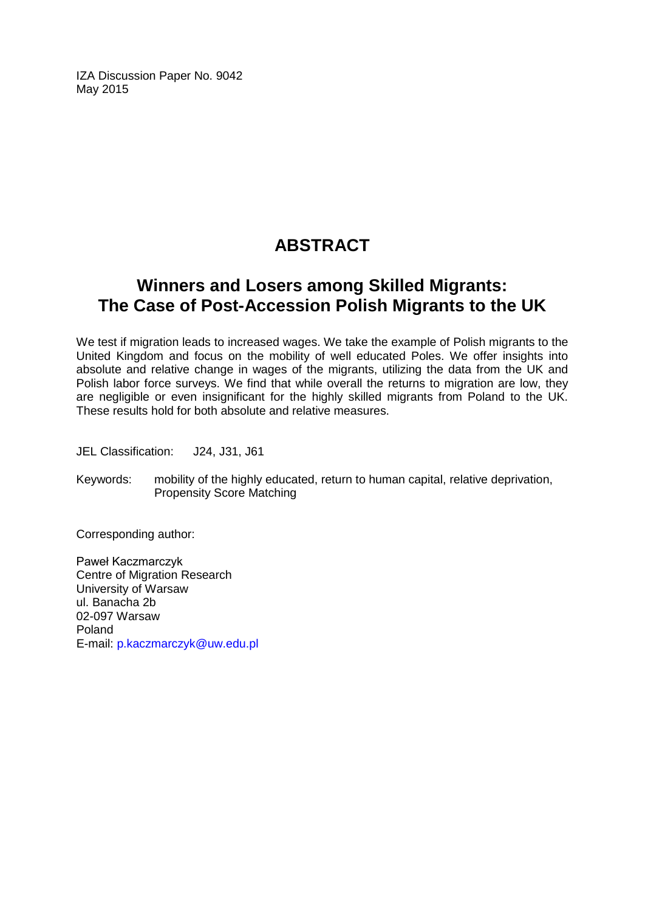IZA Discussion Paper No. 9042 May 2015

## **ABSTRACT**

## **Winners and Losers among Skilled Migrants: The Case of Post-Accession Polish Migrants to the UK**

We test if migration leads to increased wages. We take the example of Polish migrants to the United Kingdom and focus on the mobility of well educated Poles. We offer insights into absolute and relative change in wages of the migrants, utilizing the data from the UK and Polish labor force surveys. We find that while overall the returns to migration are low, they are negligible or even insignificant for the highly skilled migrants from Poland to the UK. These results hold for both absolute and relative measures.

JEL Classification: J24, J31, J61

Keywords: mobility of the highly educated, return to human capital, relative deprivation, Propensity Score Matching

Corresponding author:

Paweł Kaczmarczyk Centre of Migration Research University of Warsaw ul. Banacha 2b 02-097 Warsaw Poland E-mail: [p.kaczmarczyk@uw.edu.pl](mailto:p.kaczmarczyk@uw.edu.pl)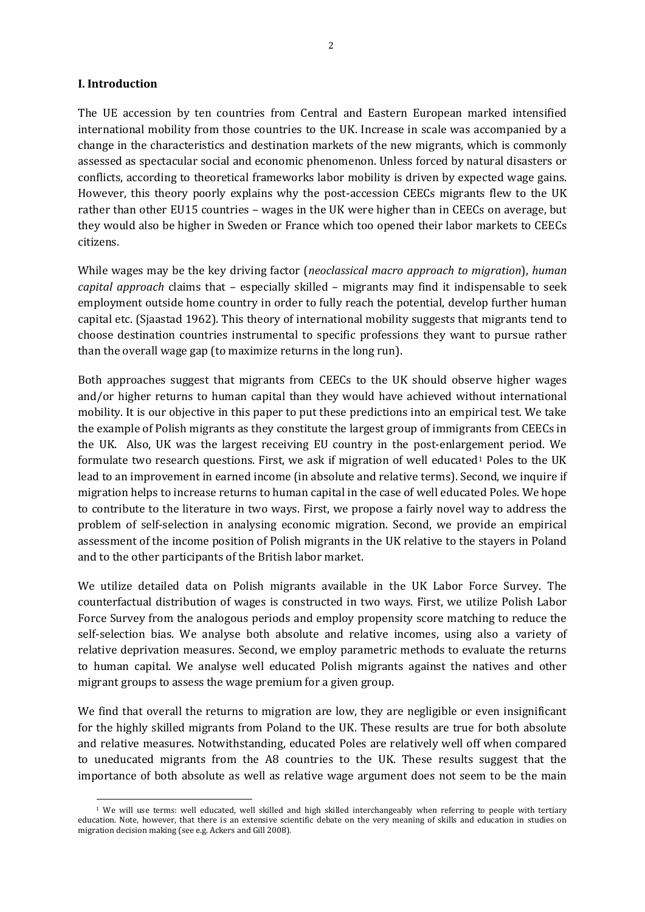#### **I. Introduction**

 $\overline{a}$ 

The UE accession by ten countries from Central and Eastern European marked intensified international mobility from those countries to the UK. Increase in scale was accompanied by a change in the characteristics and destination markets of the new migrants, which is commonly assessed as spectacular social and economic phenomenon. Unless forced by natural disasters or conflicts, according to theoretical frameworks labor mobility is driven by expected wage gains. However, this theory poorly explains why the post-accession CEECs migrants flew to the UK rather than other EU15 countries – wages in the UK were higher than in CEECs on average, but they would also be higher in Sweden or France which too opened their labor markets to CEECs citizens.

While wages may be the key driving factor (*neoclassical macro approach to migration*), *human capital approach* claims that – especially skilled – migrants may find it indispensable to seek employment outside home country in order to fully reach the potential, develop further human capital etc. (Sjaastad 1962). This theory of international mobility suggests that migrants tend to choose destination countries instrumental to specific professions they want to pursue rather than the overall wage gap (to maximize returns in the long run).

Both approaches suggest that migrants from CEECs to the UK should observe higher wages and/or higher returns to human capital than they would have achieved without international mobility. It is our objective in this paper to put these predictions into an empirical test. We take the example of Polish migrants as they constitute the largest group of immigrants from CEECs in the UK. Also, UK was the largest receiving EU country in the post-enlarge[m](#page-18-0)ent period. We formulate two research questions. First, we ask if migration of well educated<sup>1</sup> Poles to the UK lead to an improvement in earned income (in absolute and relative terms). Second, we inquire if migration helps to increase returns to human capital in the case of well educated Poles. We hope to contribute to the literature in two ways. First, we propose a fairly novel way to address the problem of self-selection in analysing economic migration. Second, we provide an empirical assessment of the income position of Polish migrants in the UK relative to the stayers in Poland and to the other participants of the British labor market.

We utilize detailed data on Polish migrants available in the UK Labor Force Survey. The counterfactual distribution of wages is constructed in two ways. First, we utilize Polish Labor Force Survey from the analogous periods and employ propensity score matching to reduce the self-selection bias. We analyse both absolute and relative incomes, using also a variety of relative deprivation measures. Second, we employ parametric methods to evaluate the returns to human capital. We analyse well educated Polish migrants against the natives and other migrant groups to assess the wage premium for a given group.

We find that overall the returns to migration are low, they are negligible or even insignificant for the highly skilled migrants from Poland to the UK. These results are true for both absolute and relative measures. Notwithstanding, educated Poles are relatively well off when compared to uneducated migrants from the A8 countries to the UK. These results suggest that the importance of both absolute as well as relative wage argument does not seem to be the main

<span id="page-3-0"></span><sup>&</sup>lt;sup>1</sup> We will use terms: well educated, well skilled and high skilled interchangeably when referring to people with tertiary education. Note, however, that there is an extensive scientific debate on the very meaning of skills and education in studies on migration decision making (see e.g. Ackers and Gill 2008).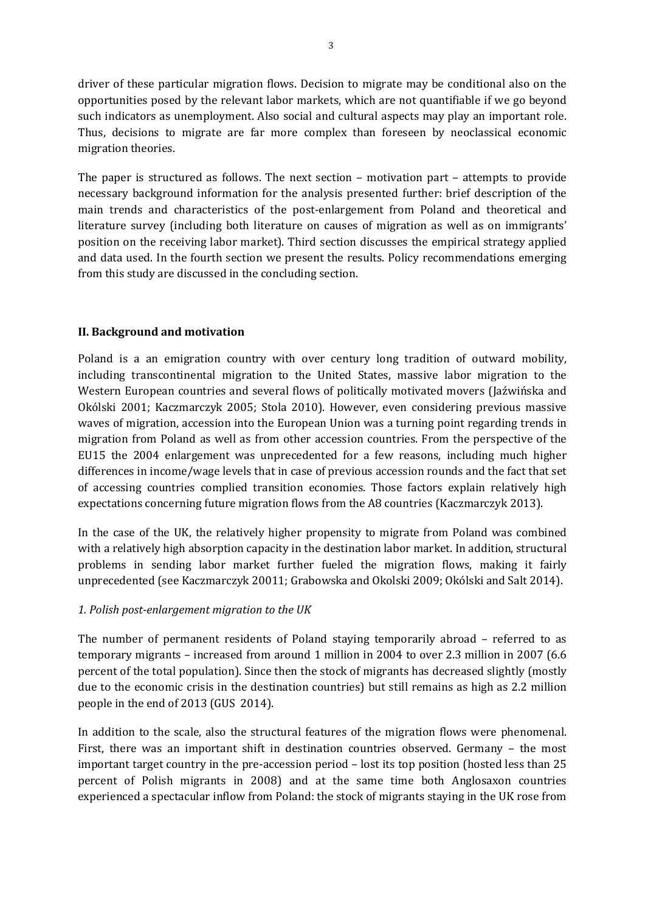driver of these particular migration flows. Decision to migrate may be conditional also on the opportunities posed by the relevant labor markets, which are not quantifiable if we go beyond such indicators as unemployment. Also social and cultural aspects may play an important role. Thus, decisions to migrate are far more complex than foreseen by neoclassical economic migration theories.

The paper is structured as follows. The next section – motivation part – attempts to provide necessary background information for the analysis presented further: brief description of the main trends and characteristics of the post-enlargement from Poland and theoretical and literature survey (including both literature on causes of migration as well as on immigrants' position on the receiving labor market). Third section discusses the empirical strategy applied and data used. In the fourth section we present the results. Policy recommendations emerging from this study are discussed in the concluding section.

#### **II. Background and motivation**

Poland is a an emigration country with over century long tradition of outward mobility, including transcontinental migration to the United States, massive labor migration to the Western European countries and several flows of politically motivated movers (Jaźwińska and Okólski 2001; Kaczmarczyk 2005; Stola 2010). However, even considering previous massive waves of migration, accession into the European Union was a turning point regarding trends in migration from Poland as well as from other accession countries. From the perspective of the EU15 the 2004 enlargement was unprecedented for a few reasons, including much higher differences in income/wage levels that in case of previous accession rounds and the fact that set of accessing countries complied transition economies. Those factors explain relatively high expectations concerning future migration flows from the A8 countries (Kaczmarczyk 2013).

In the case of the UK, the relatively higher propensity to migrate from Poland was combined with a relatively high absorption capacity in the destination labor market. In addition, structural problems in sending labor market further fueled the migration flows, making it fairly unprecedented (see Kaczmarczyk 20011; Grabowska and Okolski 2009; Okólski and Salt 2014).

#### *1. Polish post-enlargement migration to the UK*

The number of permanent residents of Poland staying temporarily abroad – referred to as temporary migrants – increased from around 1 million in 2004 to over 2.3 million in 2007 (6.6 percent of the total population). Since then the stock of migrants has decreased slightly (mostly due to the economic crisis in the destination countries) but still remains as high as 2.2 million people in the end of 2013 (GUS 2014).

In addition to the scale, also the structural features of the migration flows were phenomenal. First, there was an important shift in destination countries observed. Germany – the most important target country in the pre-accession period – lost its top position (hosted less than 25 percent of Polish migrants in 2008) and at the same time both Anglosaxon countries experienced a spectacular inflow from Poland: the stock of migrants staying in the UK rose from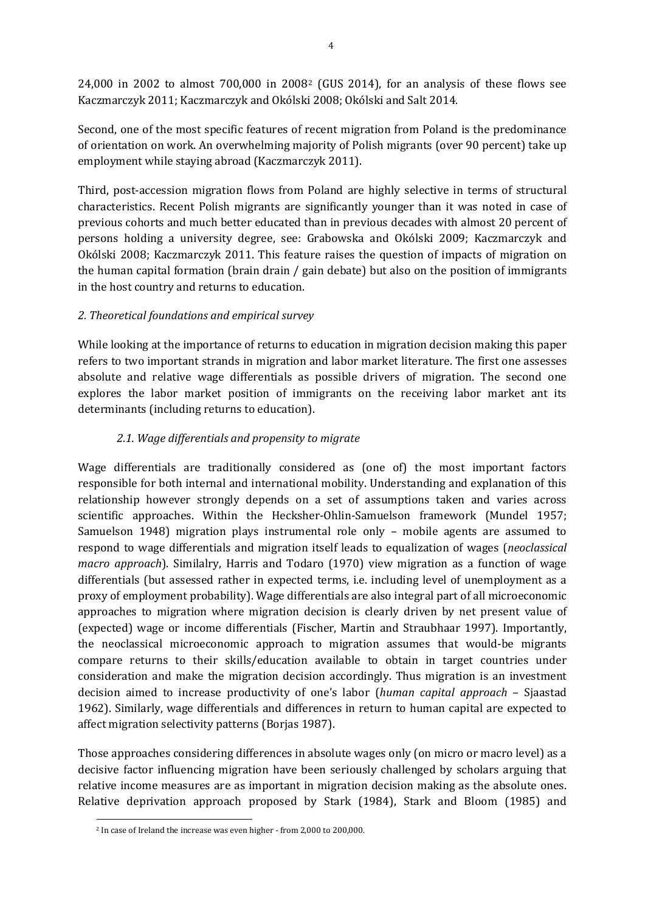24,000 in 2002 to almost 700,000 in 2008[2](#page-3-0) (GUS 2014), for an analysis of these flows see Kaczmarczyk 2011; Kaczmarczyk and Okólski 2008; Okólski and Salt 2014.

Second, one of the most specific features of recent migration from Poland is the predominance of orientation on work. An overwhelming majority of Polish migrants (over 90 percent) take up employment while staying abroad (Kaczmarczyk 2011).

Third, post-accession migration flows from Poland are highly selective in terms of structural characteristics. Recent Polish migrants are significantly younger than it was noted in case of previous cohorts and much better educated than in previous decades with almost 20 percent of persons holding a university degree, see: Grabowska and Okólski 2009; Kaczmarczyk and Okólski 2008; Kaczmarczyk 2011. This feature raises the question of impacts of migration on the human capital formation (brain drain / gain debate) but also on the position of immigrants in the host country and returns to education.

#### *2. Theoretical foundations and empirical survey*

While looking at the importance of returns to education in migration decision making this paper refers to two important strands in migration and labor market literature. The first one assesses absolute and relative wage differentials as possible drivers of migration. The second one explores the labor market position of immigrants on the receiving labor market ant its determinants (including returns to education).

### *2.1. Wage differentials and propensity to migrate*

Wage differentials are traditionally considered as (one of) the most important factors responsible for both internal and international mobility. Understanding and explanation of this relationship however strongly depends on a set of assumptions taken and varies across scientific approaches. Within the Hecksher-Ohlin-Samuelson framework (Mundel 1957; Samuelson 1948) migration plays instrumental role only – mobile agents are assumed to respond to wage differentials and migration itself leads to equalization of wages (*neoclassical macro approach*). Similalry, Harris and Todaro (1970) view migration as a function of wage differentials (but assessed rather in expected terms, i.e. including level of unemployment as a proxy of employment probability). Wage differentials are also integral part of all microeconomic approaches to migration where migration decision is clearly driven by net present value of (expected) wage or income differentials (Fischer, Martin and Straubhaar 1997). Importantly, the neoclassical microeconomic approach to migration assumes that would-be migrants compare returns to their skills/education available to obtain in target countries under consideration and make the migration decision accordingly. Thus migration is an investment decision aimed to increase productivity of one's labor (*human capital approach* – Sjaastad 1962). Similarly, wage differentials and differences in return to human capital are expected to affect migration selectivity patterns (Borjas 1987).

<span id="page-5-0"></span>Those approaches considering differences in absolute wages only (on micro or macro level) as a decisive factor influencing migration have been seriously challenged by scholars arguing that relative income measures are as important in migration decision making as the absolute ones. Relative deprivation approach proposed by Stark (1984), Stark and Bloom (1985) and

 $\overline{a}$ <sup>2</sup> In case of Ireland the increase was even higher - from 2,000 to 200,000.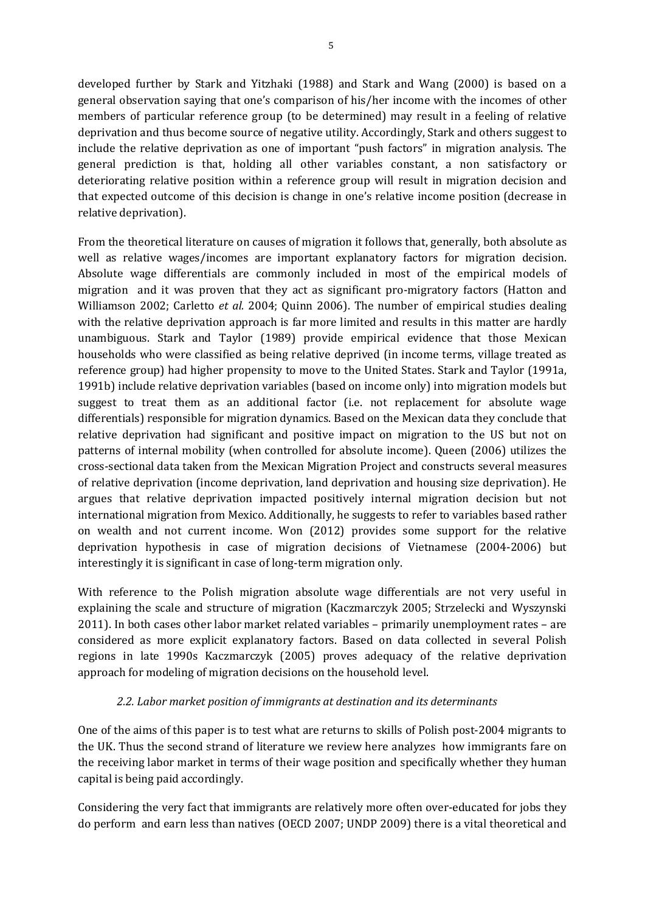developed further by Stark and Yitzhaki (1988) and Stark and Wang (2000) is based on a general observation saying that one's comparison of his/her income with the incomes of other members of particular reference group (to be determined) may result in a feeling of relative deprivation and thus become source of negative utility. Accordingly, Stark and others suggest to include the relative deprivation as one of important "push factors" in migration analysis. The general prediction is that, holding all other variables constant, a non satisfactory or deteriorating relative position within a reference group will result in migration decision and that expected outcome of this decision is change in one's relative income position (decrease in relative deprivation).

From the theoretical literature on causes of migration it follows that, generally, both absolute as well as relative wages/incomes are important explanatory factors for migration decision. Absolute wage differentials are commonly included in most of the empirical models of migration and it was proven that they act as significant pro-migratory factors (Hatton and Williamson 2002; Carletto *et al.* 2004; Quinn 2006). The number of empirical studies dealing with the relative deprivation approach is far more limited and results in this matter are hardly unambiguous. Stark and Taylor (1989) provide empirical evidence that those Mexican households who were classified as being relative deprived (in income terms, village treated as reference group) had higher propensity to move to the United States. Stark and Taylor (1991a, 1991b) include relative deprivation variables (based on income only) into migration models but suggest to treat them as an additional factor (i.e. not replacement for absolute wage differentials) responsible for migration dynamics. Based on the Mexican data they conclude that relative deprivation had significant and positive impact on migration to the US but not on patterns of internal mobility (when controlled for absolute income). Queen (2006) utilizes the cross-sectional data taken from the Mexican Migration Project and constructs several measures of relative deprivation (income deprivation, land deprivation and housing size deprivation). He argues that relative deprivation impacted positively internal migration decision but not international migration from Mexico. Additionally, he suggests to refer to variables based rather on wealth and not current income. Won (2012) provides some support for the relative deprivation hypothesis in case of migration decisions of Vietnamese (2004-2006) but interestingly it is significant in case of long-term migration only.

With reference to the Polish migration absolute wage differentials are not very useful in explaining the scale and structure of migration (Kaczmarczyk 2005; Strzelecki and Wyszynski 2011). In both cases other labor market related variables – primarily unemployment rates – are considered as more explicit explanatory factors. Based on data collected in several Polish regions in late 1990s Kaczmarczyk (2005) proves adequacy of the relative deprivation approach for modeling of migration decisions on the household level.

#### *2.2. Labor market position of immigrants at destination and its determinants*

One of the aims of this paper is to test what are returns to skills of Polish post-2004 migrants to the UK. Thus the second strand of literature we review here analyzes how immigrants fare on the receiving labor market in terms of their wage position and specifically whether they human capital is being paid accordingly.

Considering the very fact that immigrants are relatively more often over-educated for jobs they do perform and earn less than natives (OECD 2007; UNDP 2009) there is a vital theoretical and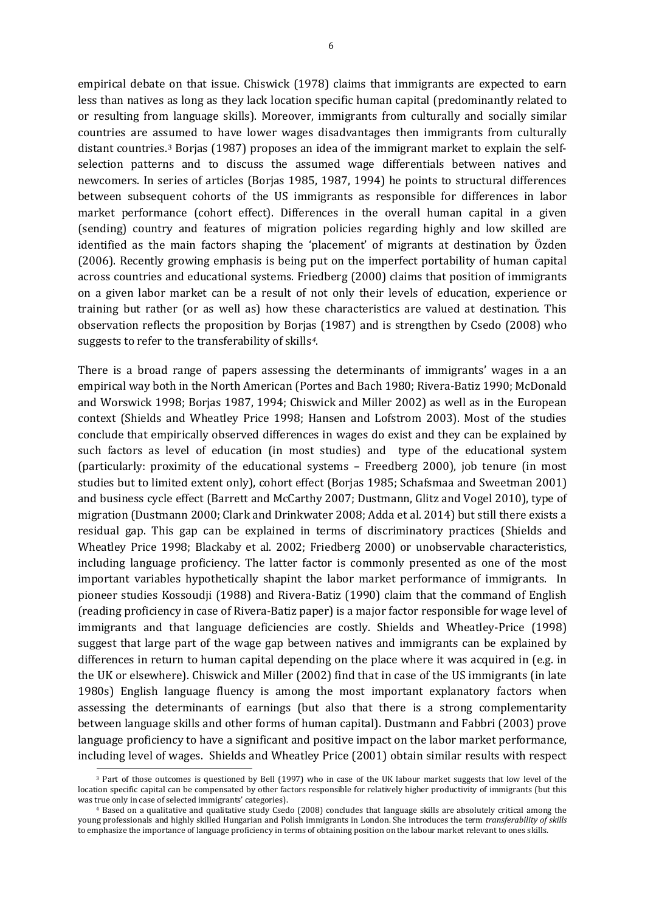empirical debate on that issue. Chiswick (1978) claims that immigrants are expected to earn less than natives as long as they lack location specific human capital (predominantly related to or resulting from language skills). Moreover, immigrants from culturally and socially similar countries are as[su](#page-5-0)med to have lower wages disadvantages then immigrants from culturally distant countries.3 Borjas (1987) proposes an idea of the immigrant market to explain the selfselection patterns and to discuss the assumed wage differentials between natives and newcomers. In series of articles (Borjas 1985, 1987, 1994) he points to structural differences between subsequent cohorts of the US immigrants as responsible for differences in labor market performance (cohort effect). Differences in the overall human capital in a given (sending) country and features of migration policies regarding highly and low skilled are identified as the main factors shaping the 'placement' of migrants at destination by Özden (2006). Recently growing emphasis is being put on the imperfect portability of human capital across countries and educational systems. Friedberg (2000) claims that position of immigrants on a given labor market can be a result of not only their levels of education, experience or training but rather (or as well as) how these characteristics are valued at destination. This observation reflects the proposition by Borjas (1987) and is strengthen by Csedo (2008) who suggests to refer to the transferability of skills*[4](#page-7-0)*.

There is a broad range of papers assessing the determinants of immigrants' wages in a an empirical way both in the North American (Portes and Bach 1980; Rivera-Batiz 1990; McDonald and Worswick 1998; Borjas 1987, 1994; Chiswick and Miller 2002) as well as in the European context (Shields and Wheatley Price 1998; Hansen and Lofstrom 2003). Most of the studies conclude that empirically observed differences in wages do exist and they can be explained by such factors as level of education (in most studies) and type of the educational system (particularly: proximity of the educational systems – Freedberg 2000), job tenure (in most studies but to limited extent only), cohort effect (Borjas 1985; Schafsmaa and Sweetman 2001) and business cycle effect (Barrett and McCarthy 2007; Dustmann, Glitz and Vogel 2010), type of migration (Dustmann 2000; Clark and Drinkwater 2008; Adda et al. 2014) but still there exists a residual gap. This gap can be explained in terms of discriminatory practices (Shields and Wheatley Price 1998; Blackaby et al. 2002; Friedberg 2000) or unobservable characteristics, including language proficiency. The latter factor is commonly presented as one of the most important variables hypothetically shapint the labor market performance of immigrants. In pioneer studies Kossoudji (1988) and Rivera-Batiz (1990) claim that the command of English (reading proficiency in case of Rivera-Batiz paper) is a major factor responsible for wage level of immigrants and that language deficiencies are costly. Shields and Wheatley-Price (1998) suggest that large part of the wage gap between natives and immigrants can be explained by differences in return to human capital depending on the place where it was acquired in (e.g. in the UK or elsewhere). Chiswick and Miller (2002) find that in case of the US immigrants (in late 1980s) English language fluency is among the most important explanatory factors when assessing the determinants of earnings (but also that there is a strong complementarity between language skills and other forms of human capital). Dustmann and Fabbri (2003) prove language proficiency to have a significant and positive impact on the labor market performance, including level of wages. Shields and Wheatley Price (2001) obtain similar results with respect 3 Part of those outcomes is questioned by Bell (1997) who in case of the UK labour market suggests that low level of the

<span id="page-7-1"></span>location specific capital can be compensated by other factors responsible for relatively higher productivity of immigrants (but this was true only in case of selected immigrants' categories).

<span id="page-7-0"></span><sup>4</sup> Based on a qualitative and qualitative study Csedo (2008) concludes that language skills are absolutely critical among the young professionals and highly skilled Hungarian and Polish immigrants in London. She introduces the term *transferability of skills* to emphasize the importance of language proficiency in terms of obtaining position on the labour market relevant to ones skills.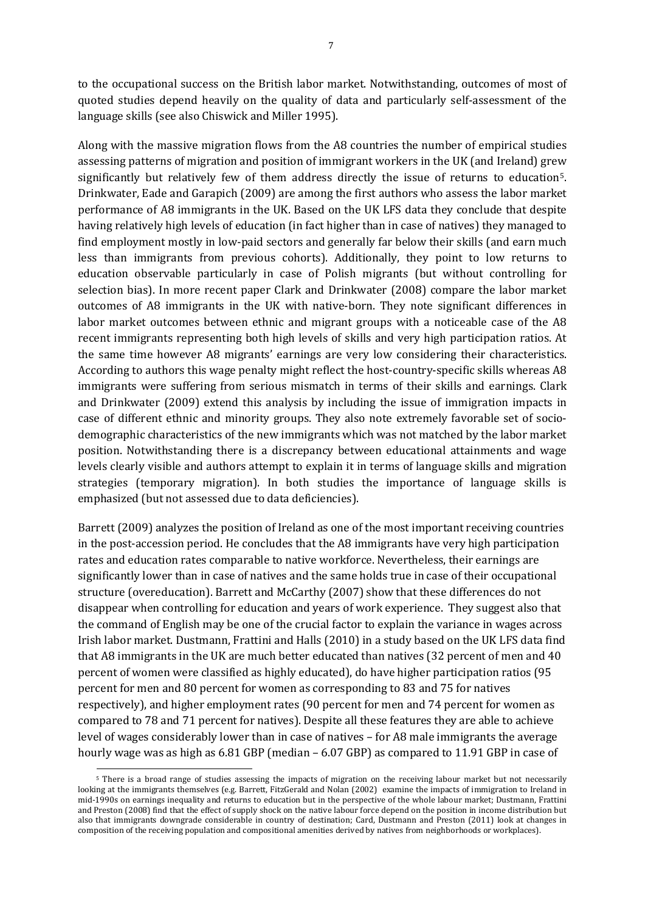to the occupational success on the British labor market. Notwithstanding, outcomes of most of quoted studies depend heavily on the quality of data and particularly self-assessment of the language skills (see also Chiswick and Miller 1995).

Along with the massive migration flows from the A8 countries the number of empirical studies assessing patterns of migration and position of immigrant workers in the UK (and Ireland) grew significantly but relatively few of them address directly the issue of returns to education[5](#page-7-1). Drinkwater, Eade and Garapich (2009) are among the first authors who assess the labor market performance of A8 immigrants in the UK. Based on the UK LFS data they conclude that despite having relatively high levels of education (in fact higher than in case of natives) they managed to find employment mostly in low-paid sectors and generally far below their skills (and earn much less than immigrants from previous cohorts). Additionally, they point to low returns to education observable particularly in case of Polish migrants (but without controlling for selection bias). In more recent paper Clark and Drinkwater (2008) compare the labor market outcomes of A8 immigrants in the UK with native-born. They note significant differences in labor market outcomes between ethnic and migrant groups with a noticeable case of the A8 recent immigrants representing both high levels of skills and very high participation ratios. At the same time however A8 migrants' earnings are very low considering their characteristics. According to authors this wage penalty might reflect the host-country-specific skills whereas A8 immigrants were suffering from serious mismatch in terms of their skills and earnings. Clark and Drinkwater (2009) extend this analysis by including the issue of immigration impacts in case of different ethnic and minority groups. They also note extremely favorable set of sociodemographic characteristics of the new immigrants which was not matched by the labor market position. Notwithstanding there is a discrepancy between educational attainments and wage levels clearly visible and authors attempt to explain it in terms of language skills and migration strategies (temporary migration). In both studies the importance of language skills is emphasized (but not assessed due to data deficiencies).

Barrett (2009) analyzes the position of Ireland as one of the most important receiving countries in the post-accession period. He concludes that the A8 immigrants have very high participation rates and education rates comparable to native workforce. Nevertheless, their earnings are significantly lower than in case of natives and the same holds true in case of their occupational structure (overeducation). Barrett and McCarthy (2007) show that these differences do not disappear when controlling for education and years of work experience. They suggest also that the command of English may be one of the crucial factor to explain the variance in wages across Irish labor market. Dustmann, Frattini and Halls (2010) in a study based on the UK LFS data find that A8 immigrants in the UK are much better educated than natives (32 percent of men and 40 percent of women were classified as highly educated), do have higher participation ratios (95 percent for men and 80 percent for women as corresponding to 83 and 75 for natives respectively), and higher employment rates (90 percent for men and 74 percent for women as compared to 78 and 71 percent for natives). Despite all these features they are able to achieve level of wages considerably lower than in case of natives – for A8 male immigrants the average hourly wage was as high as 6.81 GBP (median – 6.07 GBP) as compared to 11.91 GBP in case of

 $\overline{a}$ 

<span id="page-8-0"></span><sup>&</sup>lt;sup>5</sup> There is a broad range of studies assessing the impacts of migration on the receiving labour market but not necessarily looking at the immigrants themselves (e.g. Barrett, FitzGerald and Nolan (2002) examine the impacts of immigration to Ireland in mid-1990s on earnings inequality and returns to education but in the perspective of the whole labour market; Dustmann, Frattini and Preston (2008) find that the effect of supply shock on the native labour force depend on the position in income distribution but also that immigrants downgrade considerable in country of destination; Card, Dustmann and Preston (2011) look at changes in composition of the receiving population and compositional amenities derived by natives from neighborhoods or workplaces).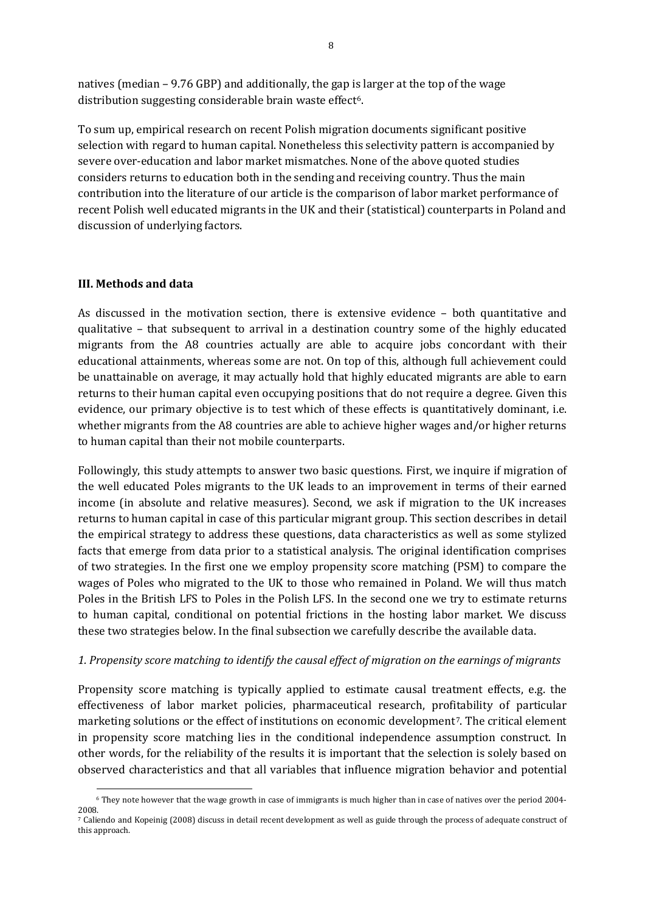natives (median – 9.76 GBP) and additionally, the gap is larger at the top of the wage distribution suggesting considerable brain waste effect<sup>6</sup>.

To sum up, empirical research on recent Polish migration documents significant positive selection with regard to human capital. Nonetheless this selectivity pattern is accompanied by severe over-education and labor market mismatches. None of the above quoted studies considers returns to education both in the sending and receiving country. Thus the main contribution into the literature of our article is the comparison of labor market performance of recent Polish well educated migrants in the UK and their (statistical) counterparts in Poland and discussion of underlying factors.

#### **III. Methods and data**

 $\overline{a}$ 

As discussed in the motivation section, there is extensive evidence – both quantitative and qualitative – that subsequent to arrival in a destination country some of the highly educated migrants from the A8 countries actually are able to acquire jobs concordant with their educational attainments, whereas some are not. On top of this, although full achievement could be unattainable on average, it may actually hold that highly educated migrants are able to earn returns to their human capital even occupying positions that do not require a degree. Given this evidence, our primary objective is to test which of these effects is quantitatively dominant, i.e. whether migrants from the A8 countries are able to achieve higher wages and/or higher returns to human capital than their not mobile counterparts.

Followingly, this study attempts to answer two basic questions. First, we inquire if migration of the well educated Poles migrants to the UK leads to an improvement in terms of their earned income (in absolute and relative measures). Second, we ask if migration to the UK increases returns to human capital in case of this particular migrant group. This section describes in detail the empirical strategy to address these questions, data characteristics as well as some stylized facts that emerge from data prior to a statistical analysis. The original identification comprises of two strategies. In the first one we employ propensity score matching (PSM) to compare the wages of Poles who migrated to the UK to those who remained in Poland. We will thus match Poles in the British LFS to Poles in the Polish LFS. In the second one we try to estimate returns to human capital, conditional on potential frictions in the hosting labor market. We discuss these two strategies below. In the final subsection we carefully describe the available data.

#### *1. Propensity score matching to identify the causal effect of migration on the earnings of migrants*

Propensity score matching is typically applied to estimate causal treatment effects, e.g. the effectiveness of labor market policies, pharmaceutical research, profitability of particular marketing solutions or the effect of institutions on economic development[7.](#page-9-0) The critical element in propensity score matching lies in the conditional independence assumption construct. In other words, for the reliability of the results it is important that the selection is solely based on observed characteristics and that all variables that influence migration behavior and potential

<sup>6</sup> They note however that the wage growth in case of immigrants is much higher than in case of natives over the period 2004- 2008.

<span id="page-9-0"></span><sup>7</sup> Caliendo and Kopeinig (2008) discuss in detail recent development as well as guide through the process of adequate construct of this approach.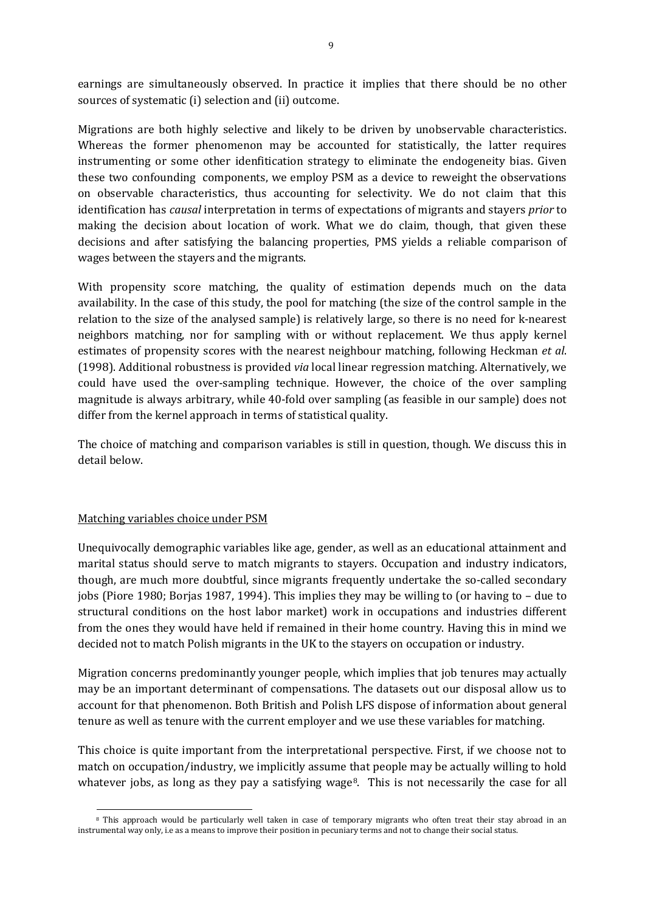earnings are simultaneously observed. In practice it implies that there should be no other sources of systematic (i) selection and (ii) outcome.

Migrations are both highly selective and likely to be driven by unobservable characteristics. Whereas the former phenomenon may be accounted for statistically, the latter requires instrumenting or some other idenfitication strategy to eliminate the endogeneity bias. Given these two confounding components, we employ PSM as a device to reweight the observations on observable characteristics, thus accounting for selectivity. We do not claim that this identification has *causal* interpretation in terms of expectations of migrants and stayers *prior* to making the decision about location of work. What we do claim, though, that given these decisions and after satisfying the balancing properties, PMS yields a reliable comparison of wages between the stayers and the migrants.

With propensity score matching, the quality of estimation depends much on the data availability. In the case of this study, the pool for matching (the size of the control sample in the relation to the size of the analysed sample) is relatively large, so there is no need for k-nearest neighbors matching, nor for sampling with or without replacement. We thus apply kernel estimates of propensity scores with the nearest neighbour matching, following Heckman *et al*. (1998). Additional robustness is provided *via* local linear regression matching. Alternatively, we could have used the over-sampling technique. However, the choice of the over sampling magnitude is always arbitrary, while 40-fold over sampling (as feasible in our sample) does not differ from the kernel approach in terms of statistical quality.

The choice of matching and comparison variables is still in question, though. We discuss this in detail below.

#### Matching variables choice under PSM

Unequivocally demographic variables like age, gender, as well as an educational attainment and marital status should serve to match migrants to stayers. Occupation and industry indicators, though, are much more doubtful, since migrants frequently undertake the so-called secondary jobs (Piore 1980; Borjas 1987, 1994). This implies they may be willing to (or having to – due to structural conditions on the host labor market) work in occupations and industries different from the ones they would have held if remained in their home country. Having this in mind we decided not to match Polish migrants in the UK to the stayers on occupation or industry.

Migration concerns predominantly younger people, which implies that job tenures may actually may be an important determinant of compensations. The datasets out our disposal allow us to account for that phenomenon. Both British and Polish LFS dispose of information about general tenure as well as tenure with the current employer and we use these variables for matching.

This choice is quite important from the interpretational perspective. First, if we choose not to match on occupation/industry, we implicitly assume that people may be actually willing to hold whatever jobs, as long as they pay a satisfying wage<sup>[8](#page-9-0)</sup>. This is not necessarily the case for all

<span id="page-10-0"></span> $\overline{a}$ <sup>8</sup> This approach would be particularly well taken in case of temporary migrants who often treat their stay abroad in an instrumental way only, i.e as a means to improve their position in pecuniary terms and not to change their social status.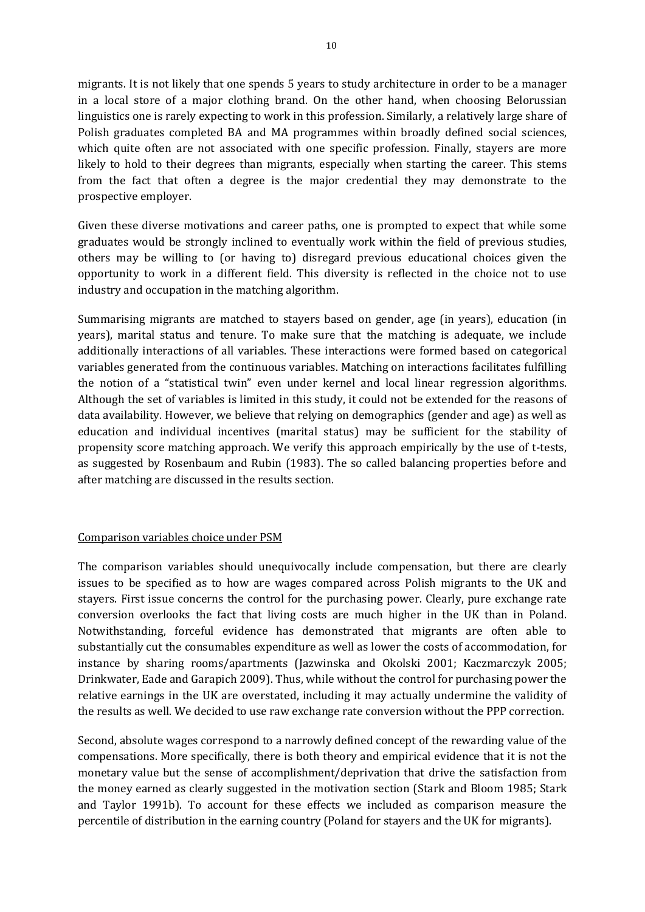migrants. It is not likely that one spends 5 years to study architecture in order to be a manager in a local store of a major clothing brand. On the other hand, when choosing Belorussian linguistics one is rarely expecting to work in this profession. Similarly, a relatively large share of Polish graduates completed BA and MA programmes within broadly defined social sciences, which quite often are not associated with one specific profession. Finally, stayers are more likely to hold to their degrees than migrants, especially when starting the career. This stems from the fact that often a degree is the major credential they may demonstrate to the prospective employer.

Given these diverse motivations and career paths, one is prompted to expect that while some graduates would be strongly inclined to eventually work within the field of previous studies, others may be willing to (or having to) disregard previous educational choices given the opportunity to work in a different field. This diversity is reflected in the choice not to use industry and occupation in the matching algorithm.

Summarising migrants are matched to stayers based on gender, age (in years), education (in years), marital status and tenure. To make sure that the matching is adequate, we include additionally interactions of all variables. These interactions were formed based on categorical variables generated from the continuous variables. Matching on interactions facilitates fulfilling the notion of a "statistical twin" even under kernel and local linear regression algorithms. Although the set of variables is limited in this study, it could not be extended for the reasons of data availability. However, we believe that relying on demographics (gender and age) as well as education and individual incentives (marital status) may be sufficient for the stability of propensity score matching approach. We verify this approach empirically by the use of t-tests, as suggested by Rosenbaum and Rubin (1983). The so called balancing properties before and after matching are discussed in the results section.

#### Comparison variables choice under PSM

The comparison variables should unequivocally include compensation, but there are clearly issues to be specified as to how are wages compared across Polish migrants to the UK and stayers. First issue concerns the control for the purchasing power. Clearly, pure exchange rate conversion overlooks the fact that living costs are much higher in the UK than in Poland. Notwithstanding, forceful evidence has demonstrated that migrants are often able to substantially cut the consumables expenditure as well as lower the costs of accommodation, for instance by sharing rooms/apartments (Jazwinska and Okolski 2001; Kaczmarczyk 2005; Drinkwater, Eade and Garapich 2009). Thus, while without the control for purchasing power the relative earnings in the UK are overstated, including it may actually undermine the validity of the results as well. We decided to use raw exchange rate conversion without the PPP correction.

Second, absolute wages correspond to a narrowly defined concept of the rewarding value of the compensations. More specifically, there is both theory and empirical evidence that it is not the monetary value but the sense of accomplishment/deprivation that drive the satisfaction from the money earned as clearly suggested in the motivation section (Stark and Bloom 1985; Stark and Taylor 1991b). To account for these effects we included as comparison measure the percentile of distribution in the earning country (Poland for stayers and the UK for migrants).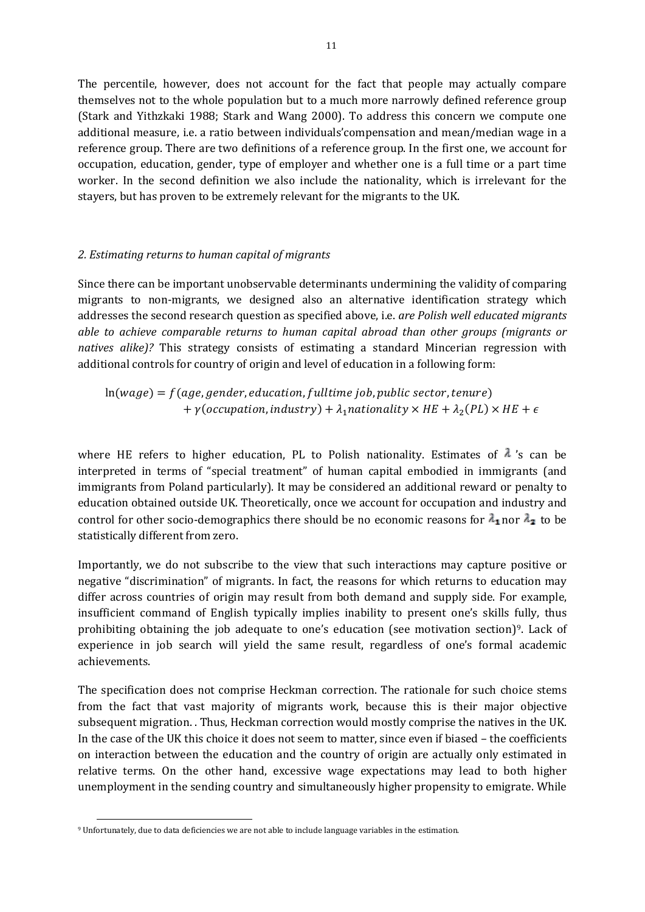The percentile, however, does not account for the fact that people may actually compare themselves not to the whole population but to a much more narrowly defined reference group (Stark and Yithzkaki 1988; Stark and Wang 2000). To address this concern we compute one additional measure, i.e. a ratio between individuals'compensation and mean/median wage in a reference group. There are two definitions of a reference group. In the first one, we account for occupation, education, gender, type of employer and whether one is a full time or a part time worker. In the second definition we also include the nationality, which is irrelevant for the stayers, but has proven to be extremely relevant for the migrants to the UK.

#### *2. Estimating returns to human capital of migrants*

Since there can be important unobservable determinants undermining the validity of comparing migrants to non-migrants, we designed also an alternative identification strategy which addresses the second research question as specified above, i.e. *are Polish well educated migrants able to achieve comparable returns to human capital abroad than other groups (migrants or natives alike)?* This strategy consists of estimating a standard Mincerian regression with additional controls for country of origin and level of education in a following form:

 $ln(wage) = f(age, gender, education, full time job, public sector, tenure)$ +  $\gamma$ (occupation, industry) +  $\lambda_1$ nationality  $\times$  HE +  $\lambda_2(PL) \times HE$  +  $\epsilon$ 

where HE refers to higher education, PL to Polish nationality. Estimates of  $\lambda$  's can be interpreted in terms of "special treatment" of human capital embodied in immigrants (and immigrants from Poland particularly). It may be considered an additional reward or penalty to education obtained outside UK. Theoretically, once we account for occupation and industry and control for other socio-demographics there should be no economic reasons for  $\lambda_1$  nor  $\lambda_2$  to be statistically different from zero.

Importantly, we do not subscribe to the view that such interactions may capture positive or negative "discrimination" of migrants. In fact, the reasons for which returns to education may differ across countries of origin may result from both demand and supply side. For example, insufficient command of English typically implies inability to present one's skills fully, thus prohibiting obtaining the job adequate to one's education (see motivation section)[9](#page-10-0). Lack of experience in job search will yield the same result, regardless of one's formal academic achievements.

The specification does not comprise Heckman correction. The rationale for such choice stems from the fact that vast majority of migrants work, because this is their major objective subsequent migration. . Thus, Heckman correction would mostly comprise the natives in the UK. In the case of the UK this choice it does not seem to matter, since even if biased – the coefficients on interaction between the education and the country of origin are actually only estimated in relative terms. On the other hand, excessive wage expectations may lead to both higher unemployment in the sending country and simultaneously higher propensity to emigrate. While

 $\overline{a}$ 

<span id="page-12-0"></span><sup>9</sup> Unfortunately, due to data deficiencies we are not able to include language variables in the estimation.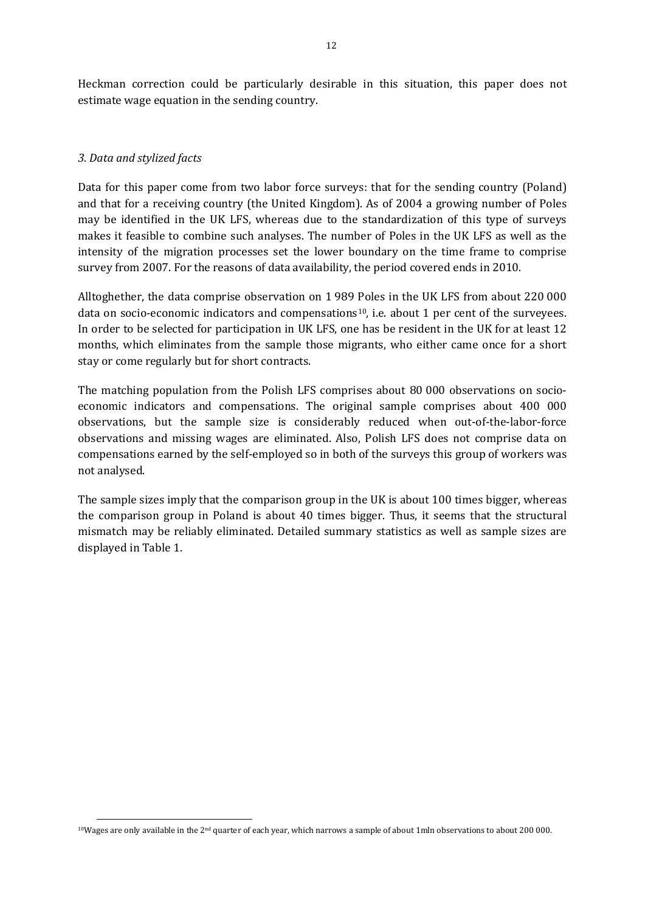Heckman correction could be particularly desirable in this situation, this paper does not estimate wage equation in the sending country.

#### *3. Data and stylized facts*

 $\overline{a}$ 

Data for this paper come from two labor force surveys: that for the sending country (Poland) and that for a receiving country (the United Kingdom). As of 2004 a growing number of Poles may be identified in the UK LFS, whereas due to the standardization of this type of surveys makes it feasible to combine such analyses. The number of Poles in the UK LFS as well as the intensity of the migration processes set the lower boundary on the time frame to comprise survey from 2007. For the reasons of data availability, the period covered ends in 2010.

Alltoghether, the data comprise observation on 1 989 Poles in the UK LFS from about 220 000 data on socio-economic indicators and compensations<sup>[10](#page-12-0)</sup>, i.e. about 1 per cent of the surveyees. In order to be selected for participation in UK LFS, one has be resident in the UK for at least 12 months, which eliminates from the sample those migrants, who either came once for a short stay or come regularly but for short contracts.

The matching population from the Polish LFS comprises about 80 000 observations on socioeconomic indicators and compensations. The original sample comprises about 400 000 observations, but the sample size is considerably reduced when out-of-the-labor-force observations and missing wages are eliminated. Also, Polish LFS does not comprise data on compensations earned by the self-employed so in both of the surveys this group of workers was not analysed.

The sample sizes imply that the comparison group in the UK is about 100 times bigger, whereas the comparison group in Poland is about 40 times bigger. Thus, it seems that the structural mismatch may be reliably eliminated. Detailed summary statistics as well as sample sizes are displayed in Table 1.

<span id="page-13-0"></span> $10W$ ages are only available in the  $2<sup>nd</sup>$  quarter of each year, which narrows a sample of about 1mln observations to about 200 000.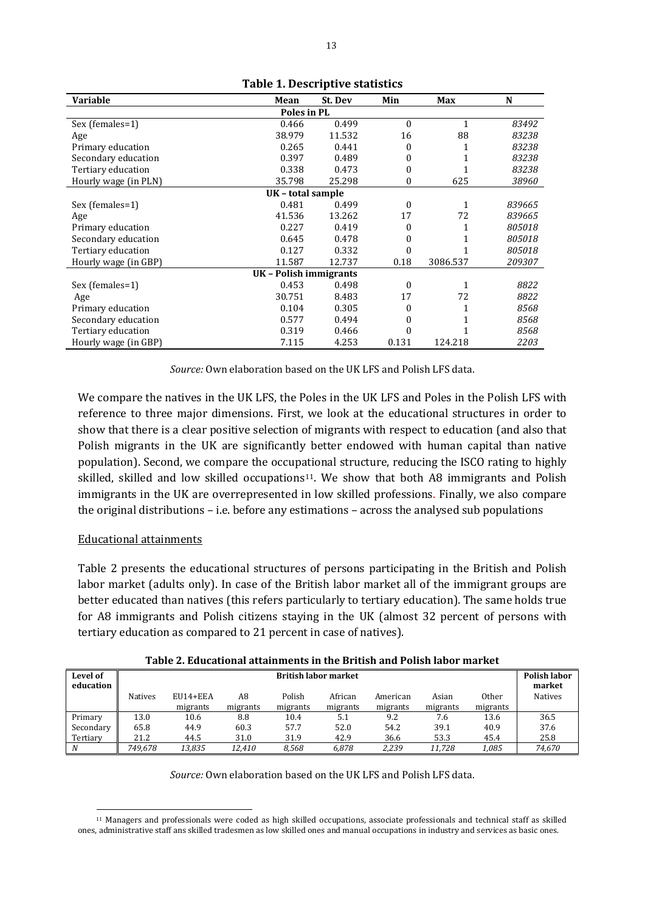| <b>Variable</b>      | Mean                   | St. Dev | Min      | Max      | N      |  |  |  |  |
|----------------------|------------------------|---------|----------|----------|--------|--|--|--|--|
| Poles in PL          |                        |         |          |          |        |  |  |  |  |
| Sex (females=1)      | 0.466                  | 0.499   | $\theta$ | 1        | 83492  |  |  |  |  |
| Age                  | 38.979                 | 11.532  | 16       | 88       | 83238  |  |  |  |  |
| Primary education    | 0.265                  | 0.441   | 0        |          | 83238  |  |  |  |  |
| Secondary education  | 0.397                  | 0.489   | 0        |          | 83238  |  |  |  |  |
| Tertiary education   | 0.338                  | 0.473   | 0        |          | 83238  |  |  |  |  |
| Hourly wage (in PLN) | 35.798                 | 25.298  | 0        | 625      | 38960  |  |  |  |  |
|                      | UK - total sample      |         |          |          |        |  |  |  |  |
| Sex (females=1)      | 0.481                  | 0.499   | $\theta$ |          | 839665 |  |  |  |  |
| Age                  | 41.536                 | 13.262  | 17       | 72       | 839665 |  |  |  |  |
| Primary education    | 0.227                  | 0.419   | 0        |          | 805018 |  |  |  |  |
| Secondary education  | 0.645                  | 0.478   | 0        |          | 805018 |  |  |  |  |
| Tertiary education   | 0.127                  | 0.332   | 0        |          | 805018 |  |  |  |  |
| Hourly wage (in GBP) | 11.587                 | 12.737  | 0.18     | 3086.537 | 209307 |  |  |  |  |
|                      | UK - Polish immigrants |         |          |          |        |  |  |  |  |
| Sex (females=1)      | 0.453                  | 0.498   | $\Omega$ | 1        | 8822   |  |  |  |  |
| Age                  | 30.751                 | 8.483   | 17       | 72       | 8822   |  |  |  |  |
| Primary education    | 0.104                  | 0.305   | 0        |          | 8568   |  |  |  |  |
| Secondary education  | 0.577                  | 0.494   | 0        |          | 8568   |  |  |  |  |
| Tertiary education   | 0.319                  | 0.466   | U        |          | 8568   |  |  |  |  |
| Hourly wage (in GBP) | 7.115                  | 4.253   | 0.131    | 124.218  | 2203   |  |  |  |  |

**Table 1. Descriptive statistics**

*Source:* Own elaboration based on the UK LFS and Polish LFS data.

We compare the natives in the UK LFS, the Poles in the UK LFS and Poles in the Polish LFS with reference to three major dimensions. First, we look at the educational structures in order to show that there is a clear positive selection of migrants with respect to education (and also that Polish migrants in the UK are significantly better endowed with human capital than native population). Second, we compare the occup[ati](#page-13-0)onal structure, reducing the ISCO rating to highly skilled, skilled and low skilled occupations<sup>11</sup>. We show that both A8 immigrants and Polish immigrants in the UK are overrepresented in low skilled professions. Finally, we also compare the original distributions – i.e. before any estimations – across the analysed sub populations

#### Educational attainments

 $\overline{a}$ 

Table 2 presents the educational structures of persons participating in the British and Polish labor market (adults only). In case of the British labor market all of the immigrant groups are better educated than natives (this refers particularly to tertiary education). The same holds true for A8 immigrants and Polish citizens staying in the UK (almost 32 percent of persons with tertiary education as compared to 21 percent in case of natives).

| Level of<br>education | <b>British labor market</b> |            |          |          |          |          |          |                   |                |  |
|-----------------------|-----------------------------|------------|----------|----------|----------|----------|----------|-------------------|----------------|--|
|                       | <b>Natives</b>              | $EUI4+EEA$ | A8       | Polish   | African  | American | Asian    | 0 <sub>ther</sub> | <b>Natives</b> |  |
|                       |                             | migrants   | migrants | migrants | migrants | migrants | migrants | migrants          |                |  |
| Primary               | 13.0                        | 10.6       | 8.8      | 10.4     | 5.1      | 9.2      | 7.6      | 13.6              | 36.5           |  |
| Secondary             | 65.8                        | 44.9       | 60.3     | 57.7     | 52.0     | 54.2     | 39.1     | 40.9              | 37.6           |  |
| Tertiary              | 21.2                        | 44.5       | 31.0     | 31.9     | 42.9     | 36.6     | 53.3     | 45.4              | 25.8           |  |
| N                     | 749.678                     | 13.835     | 12,410   | 8.568    | 6.878    | 2.239    | 11.728   | 1,085             | 74,670         |  |

*Source:* Own elaboration based on the UK LFS and Polish LFS data.

<span id="page-14-0"></span><sup>11</sup> Managers and professionals were coded as high skilled occupations, associate professionals and technical staff as skilled ones, administrative staff ans skilled tradesmen as low skilled ones and manual occupations in industry and services as basic ones.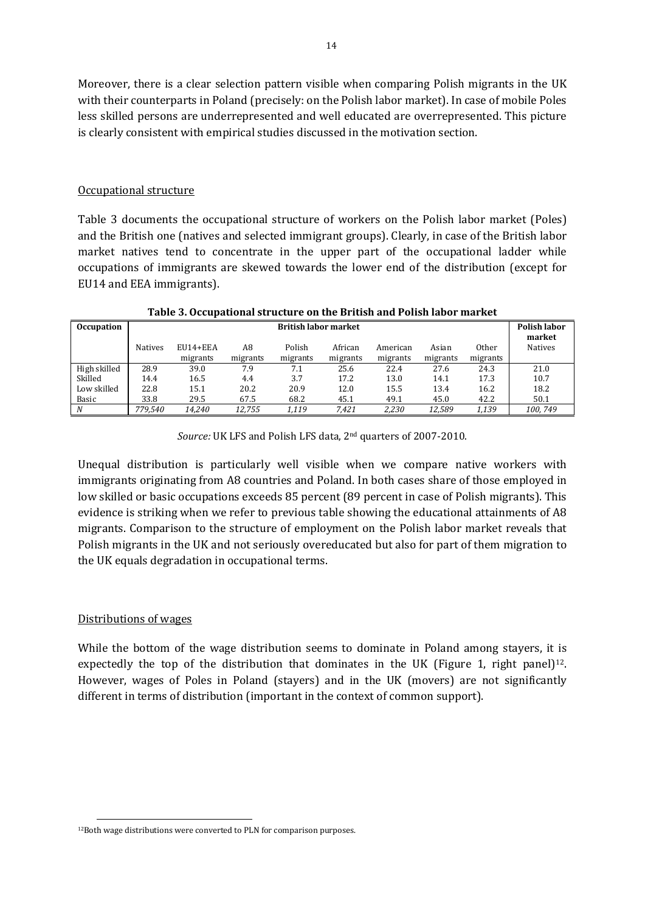Moreover, there is a clear selection pattern visible when comparing Polish migrants in the UK with their counterparts in Poland (precisely: on the Polish labor market). In case of mobile Poles less skilled persons are underrepresented and well educated are overrepresented. This picture is clearly consistent with empirical studies discussed in the motivation section.

#### Occupational structure

Table 3 documents the occupational structure of workers on the Polish labor market (Poles) and the British one (natives and selected immigrant groups). Clearly, in case of the British labor market natives tend to concentrate in the upper part of the occupational ladder while occupations of immigrants are skewed towards the lower end of the distribution (except for EU14 and EEA immigrants).

| <b>Occupation</b> | <b>British labor market</b> |            |          |          |          |          |          |          |                |  |
|-------------------|-----------------------------|------------|----------|----------|----------|----------|----------|----------|----------------|--|
|                   | Natives                     | $EUI4+EEA$ | A8       | Polish   | African  | American | Asian    | 0ther    | <b>Natives</b> |  |
|                   |                             | migrants   | migrants | migrants | migrants | migrants | migrants | migrants |                |  |
| High skilled      | 28.9                        | 39.0       | 7.9      | 7.1      | 25.6     | 22.4     | 27.6     | 24.3     | 21.0           |  |
| Skilled           | 14.4                        | 16.5       | 4.4      | 3.7      | 17.2     | 13.0     | 14.1     | 17.3     | 10.7           |  |
| Low skilled       | 22.8                        | 15.1       | 20.2     | 20.9     | 12.0     | 15.5     | 13.4     | 16.2     | 18.2           |  |
| Basic             | 33.8                        | 29.5       | 67.5     | 68.2     | 45.1     | 49.1     | 45.0     | 42.2     | 50.1           |  |
| N                 | 779.540                     | 14.240     | 12.755   | 1.119    | 7.421    | 2.230    | 12.589   | 1.139    | 100.749        |  |

**Table 3. Occupational structure on the British and Polish labor market**

*Source:* UK LFS and Polish LFS data, 2nd quarters of 2007-2010.

Unequal distribution is particularly well visible when we compare native workers with immigrants originating from A8 countries and Poland. In both cases share of those employed in low skilled or basic occupations exceeds 85 percent (89 percent in case of Polish migrants). This evidence is striking when we refer to previous table showing the educational attainments of A8 migrants. Comparison to the structure of employment on the Polish labor market reveals that Polish migrants in the UK and not seriously overeducated but also for part of them migration to the UK equals degradation in occupational terms.

#### Distributions of wages

While the bottom of the wage distribution seems to dominate in Poland among stayers, it [is](#page-14-0) expectedly the top of the distribution that dominates in the UK (Figure 1, right panel)<sup>12</sup>. However, wages of Poles in Poland (stayers) and in the UK (movers) are not significantly different in terms of distribution (important in the context of common support).

 $\overline{a}$ <sup>12</sup>Both wage distributions were converted to PLN for comparison purposes.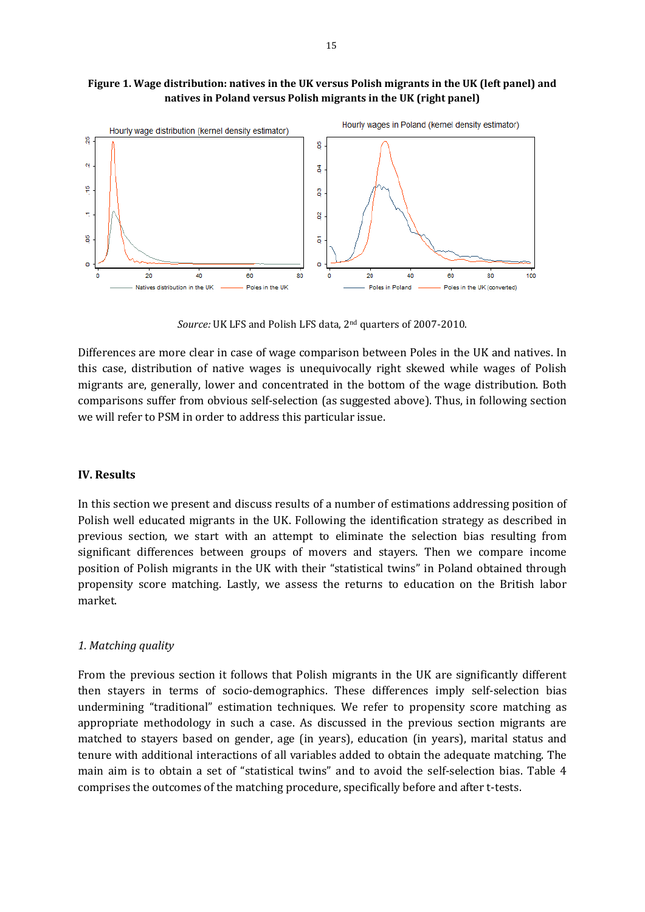



*Source:* UK LFS and Polish LFS data, 2nd quarters of 2007-2010.

Differences are more clear in case of wage comparison between Poles in the UK and natives. In this case, distribution of native wages is unequivocally right skewed while wages of Polish migrants are, generally, lower and concentrated in the bottom of the wage distribution. Both comparisons suffer from obvious self-selection (as suggested above). Thus, in following section we will refer to PSM in order to address this particular issue.

#### **IV. Results**

In this section we present and discuss results of a number of estimations addressing position of Polish well educated migrants in the UK. Following the identification strategy as described in previous section, we start with an attempt to eliminate the selection bias resulting from significant differences between groups of movers and stayers. Then we compare income position of Polish migrants in the UK with their "statistical twins" in Poland obtained through propensity score matching. Lastly, we assess the returns to education on the British labor market.

#### *1. Matching quality*

From the previous section it follows that Polish migrants in the UK are significantly different then stayers in terms of socio-demographics. These differences imply self-selection bias undermining "traditional" estimation techniques. We refer to propensity score matching as appropriate methodology in such a case. As discussed in the previous section migrants are matched to stayers based on gender, age (in years), education (in years), marital status and tenure with additional interactions of all variables added to obtain the adequate matching. The main aim is to obtain a set of "statistical twins" and to avoid the self-selection bias. Table 4 comprises the outcomes of the matching procedure, specifically before and after t-tests.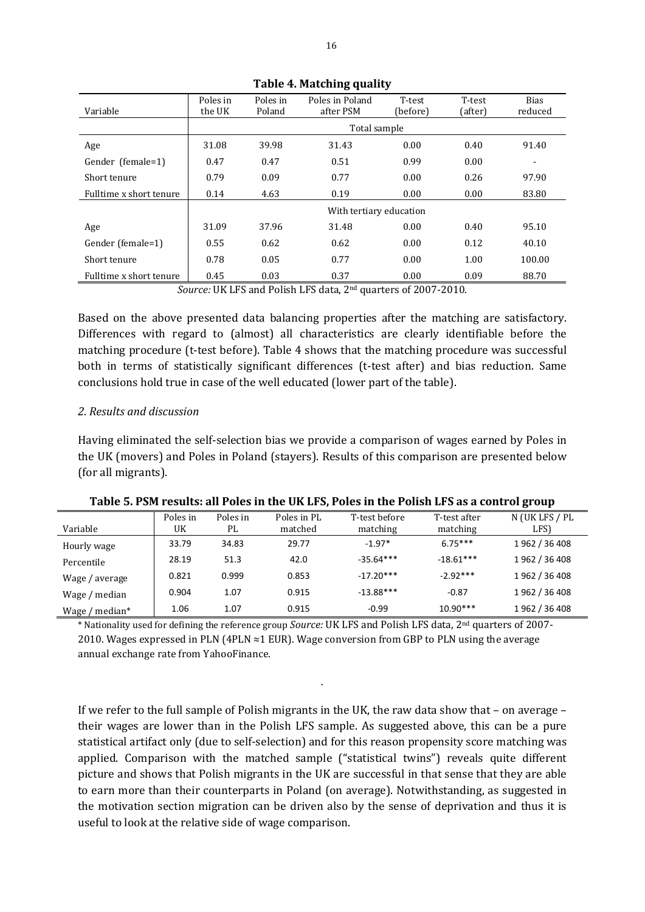|                         | Poles in                | Poles in     | Poles in Poland | T-test   | T-test  | <b>Bias</b> |  |  |  |
|-------------------------|-------------------------|--------------|-----------------|----------|---------|-------------|--|--|--|
| Variable                | the UK                  | Poland       | after PSM       | (before) | (after) | reduced     |  |  |  |
|                         |                         | Total sample |                 |          |         |             |  |  |  |
| Age                     | 31.08                   | 39.98        | 31.43           | 0.00     | 0.40    | 91.40       |  |  |  |
| Gender (female=1)       | 0.47                    | 0.47         | 0.51            | 0.99     | 0.00    |             |  |  |  |
| Short tenure            | 0.79                    | 0.09         | 0.77            | 0.00     | 0.26    | 97.90       |  |  |  |
| Fulltime x short tenure | 0.14                    | 4.63         | 0.19            | 0.00     | 0.00    | 83.80       |  |  |  |
|                         | With tertiary education |              |                 |          |         |             |  |  |  |
| Age                     | 31.09                   | 37.96        | 31.48           | 0.00     | 0.40    | 95.10       |  |  |  |
| Gender (female=1)       | 0.55                    | 0.62         | 0.62            | 0.00     | 0.12    | 40.10       |  |  |  |
| Short tenure            | 0.78                    | 0.05         | 0.77            | 0.00     | 1.00    | 100.00      |  |  |  |
| Fulltime x short tenure | 0.45                    | 0.03         | 0.37            | 0.00     | 0.09    | 88.70       |  |  |  |

**Table 4. Matching quality** 

*Source:* UK LFS and Polish LFS data, 2nd quarters of 2007-2010.

Based on the above presented data balancing properties after the matching are satisfactory. Differences with regard to (almost) all characteristics are clearly identifiable before the matching procedure (t-test before). Table 4 shows that the matching procedure was successful both in terms of statistically significant differences (t-test after) and bias reduction. Same conclusions hold true in case of the well educated (lower part of the table).

#### *2. Results and discussion*

Having eliminated the self-selection bias we provide a comparison of wages earned by Poles in the UK (movers) and Poles in Poland (stayers). Results of this comparison are presented below (for all migrants).

| Variable           | Poles in<br>UK | Poles in<br>PL | Poles in PL<br>matched | T-test before<br>matching | T-test after<br>matching | N (UK LFS / PL<br>LFS) |
|--------------------|----------------|----------------|------------------------|---------------------------|--------------------------|------------------------|
| Hourly wage        | 33.79          | 34.83          | 29.77                  | $-1.97*$                  | $6.75***$                | 1962 / 36 408          |
| Percentile         | 28.19          | 51.3           | 42.0                   | $-35.64***$               | $-18.61***$              | 1962 / 36 408          |
| Wage / average     | 0.821          | 0.999          | 0.853                  | $-17.20***$               | $-2.92***$               | 1962 / 36 408          |
| Wage / median      | 0.904          | 1.07           | 0.915                  | $-13.88***$               | $-0.87$                  | 1962 / 36 408          |
| Wage,<br>' median* | 1.06           | 1.07           | 0.915                  | $-0.99$                   | $10.90***$               | 1962 / 36 408          |

**Table 5. PSM results: all Poles in the UK LFS, Poles in the Polish LFS as a control group** 

\* Nationality used for defining the reference group *Source:* UK LFS and Polish LFS data, 2nd quarters of 2007- 2010. Wages expressed in PLN (4PLN  $\approx$ 1 EUR). Wage conversion from GBP to PLN using the average annual exchange rate from YahooFinance.

If we refer to the full sample of Polish migrants in the UK, the raw data show that – on average – their wages are lower than in the Polish LFS sample. As suggested above, this can be a pure statistical artifact only (due to self-selection) and for this reason propensity score matching was applied. Comparison with the matched sample ("statistical twins") reveals quite different picture and shows that Polish migrants in the UK are successful in that sense that they are able to earn more than their counterparts in Poland (on average). Notwithstanding, as suggested in the motivation section migration can be driven also by the sense of deprivation and thus it is useful to look at the relative side of wage comparison.

.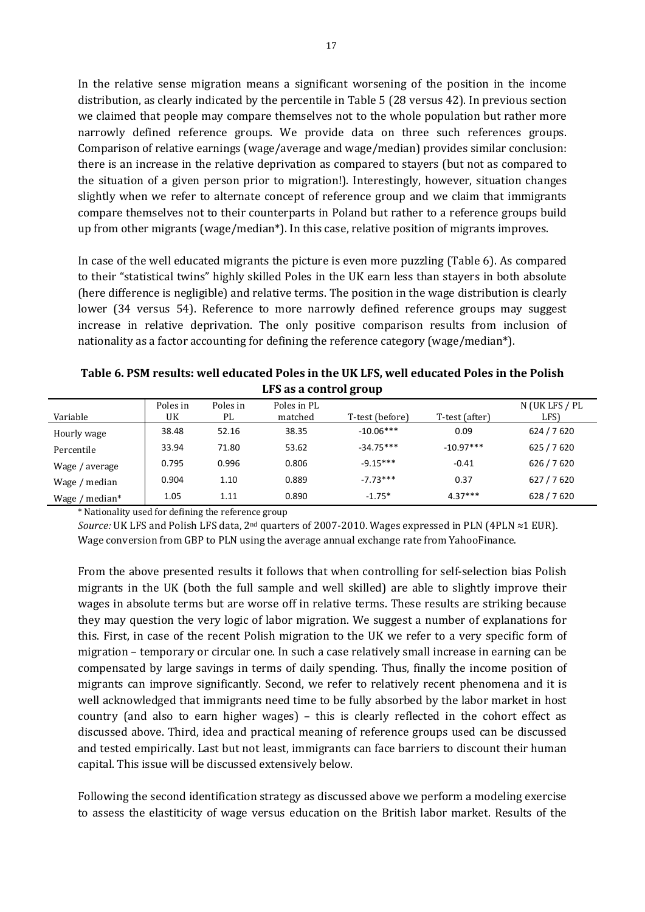In the relative sense migration means a significant worsening of the position in the income distribution, as clearly indicated by the percentile in Table 5 (28 versus 42). In previous section we claimed that people may compare themselves not to the whole population but rather more narrowly defined reference groups. We provide data on three such references groups. Comparison of relative earnings (wage/average and wage/median) provides similar conclusion: there is an increase in the relative deprivation as compared to stayers (but not as compared to the situation of a given person prior to migration!). Interestingly, however, situation changes slightly when we refer to alternate concept of reference group and we claim that immigrants compare themselves not to their counterparts in Poland but rather to a reference groups build up from other migrants (wage/median\*). In this case, relative position of migrants improves.

In case of the well educated migrants the picture is even more puzzling (Table 6). As compared to their "statistical twins" highly skilled Poles in the UK earn less than stayers in both absolute (here difference is negligible) and relative terms. The position in the wage distribution is clearly lower (34 versus 54). Reference to more narrowly defined reference groups may suggest increase in relative deprivation. The only positive comparison results from inclusion of nationality as a factor accounting for defining the reference category (wage/median\*).

| Variable          | Poles in<br>UK | Poles in<br>PL | Poles in PL<br>matched | T-test (before) | T-test (after) | N (UK LFS / PL<br>LFS) |  |  |
|-------------------|----------------|----------------|------------------------|-----------------|----------------|------------------------|--|--|
| Hourly wage       | 38.48          | 52.16          | 38.35                  | $-10.06***$     | 0.09           | 624 / 7 620            |  |  |
| Percentile        | 33.94          | 71.80          | 53.62                  | $-34.75***$     | $-10.97***$    | 625 / 7 620            |  |  |
| Wage / average    | 0.795          | 0.996          | 0.806                  | $-9.15***$      | $-0.41$        | 626 / 7 620            |  |  |
| Wage / median     | 0.904          | 1.10           | 0.889                  | $-7.73***$      | 0.37           | 627 / 7 620            |  |  |
| Wage / median $*$ | 1.05           | 1.11           | 0.890                  | $-1.75*$        | $4.37***$      | 628 / 7 620            |  |  |

**Table 6. PSM results: well educated Poles in the UK LFS, well educated Poles in the Polish LFS as a control group** 

\* Nationality used for defining the reference group

*Source:* UK LFS and Polish LFS data,  $2^{nd}$  quarters of 2007-2010. Wages expressed in PLN (4PLN  $\approx$  1 EUR). Wage conversion from GBP to PLN using the average annual exchange rate from YahooFinance.

From the above presented results it follows that when controlling for self-selection bias Polish migrants in the UK (both the full sample and well skilled) are able to slightly improve their wages in absolute terms but are worse off in relative terms. These results are striking because they may question the very logic of labor migration. We suggest a number of explanations for this. First, in case of the recent Polish migration to the UK we refer to a very specific form of migration – temporary or circular one. In such a case relatively small increase in earning can be compensated by large savings in terms of daily spending. Thus, finally the income position of migrants can improve significantly. Second, we refer to relatively recent phenomena and it is well acknowledged that immigrants need time to be fully absorbed by the labor market in host country (and also to earn higher wages) – this is clearly reflected in the cohort effect as discussed above. Third, idea and practical meaning of reference groups used can be discussed and tested empirically. Last but not least, immigrants can face barriers to discount their human capital. This issue will be discussed extensively below.

<span id="page-18-0"></span>Following the second identification strategy as discussed above we perform a modeling exercise to assess the elastiticity of wage versus education on the British labor market. Results of the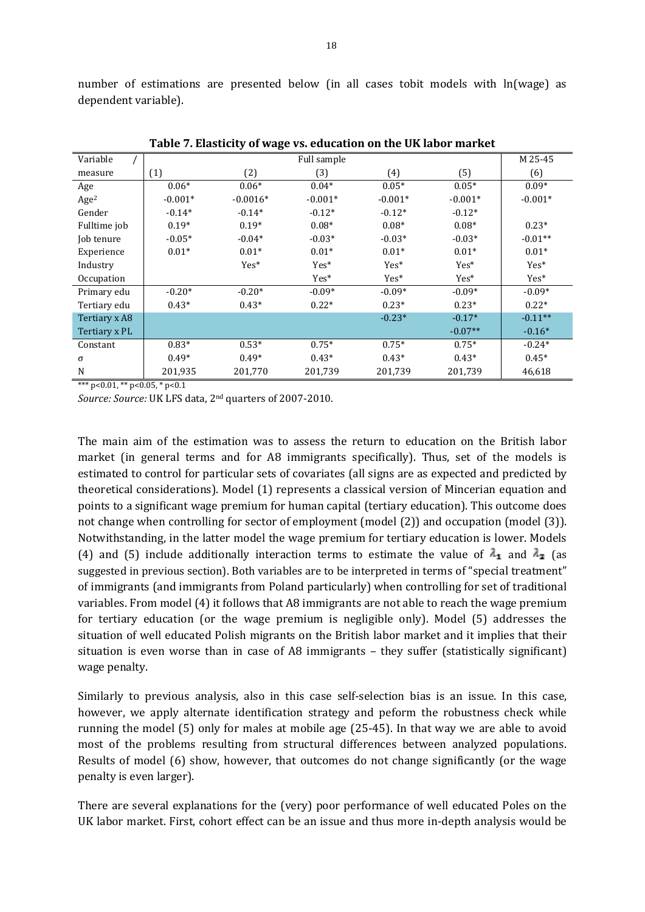number of estimations are presented below (in all cases tobit models with ln(wage) as dependent variable).

| Variable         |           | ັ          | Full sample |           |           | M 25-45   |
|------------------|-----------|------------|-------------|-----------|-----------|-----------|
| measure          | (1)       | (2)        | (3)         | (4)       | (5)       | (6)       |
| Age              | $0.06*$   | $0.06*$    | $0.04*$     | $0.05*$   | $0.05*$   | $0.09*$   |
| Age <sup>2</sup> | $-0.001*$ | $-0.0016*$ | $-0.001*$   | $-0.001*$ | $-0.001*$ | $-0.001*$ |
| Gender           | $-0.14*$  | $-0.14*$   | $-0.12*$    | $-0.12*$  | $-0.12*$  |           |
| Fulltime job     | $0.19*$   | $0.19*$    | $0.08*$     | $0.08*$   | $0.08*$   | $0.23*$   |
| Job tenure       | $-0.05*$  | $-0.04*$   | $-0.03*$    | $-0.03*$  | $-0.03*$  | $-0.01**$ |
| Experience       | $0.01*$   | $0.01*$    | $0.01*$     | $0.01*$   | $0.01*$   | $0.01*$   |
| Industry         |           | Yes*       | Yes*        | Yes*      | Yes*      | Yes*      |
| Occupation       |           |            | Yes*        | $Yes*$    | Yes*      | Yes*      |
| Primary edu      | $-0.20*$  | $-0.20*$   | $-0.09*$    | $-0.09*$  | $-0.09*$  | $-0.09*$  |
| Tertiary edu     | $0.43*$   | $0.43*$    | $0.22*$     | $0.23*$   | $0.23*$   | $0.22*$   |
| Tertiary x A8    |           |            |             | $-0.23*$  | $-0.17*$  | $-0.11**$ |
| Tertiary x PL    |           |            |             |           | $-0.07**$ | $-0.16*$  |
| Constant         | $0.83*$   | $0.53*$    | $0.75*$     | $0.75*$   | $0.75*$   | $-0.24*$  |
| σ                | $0.49*$   | $0.49*$    | $0.43*$     | $0.43*$   | $0.43*$   | $0.45*$   |
| N                | 201,935   | 201,770    | 201,739     | 201,739   | 201,739   | 46,618    |

**Table 7. Elasticity of wage vs. education on the UK labor market** 

\*\*\* p<0.01, \*\* p<0.05, \* p<0.1

*Source: Source:* UK LFS data, 2nd quarters of 2007-2010.

The main aim of the estimation was to assess the return to education on the British labor market (in general terms and for A8 immigrants specifically). Thus, set of the models is estimated to control for particular sets of covariates (all signs are as expected and predicted by theoretical considerations). Model (1) represents a classical version of Mincerian equation and points to a significant wage premium for human capital (tertiary education). This outcome does not change when controlling for sector of employment (model (2)) and occupation (model (3)). Notwithstanding, in the latter model the wage premium for tertiary education is lower. Models (4) and (5) include additionally interaction terms to estimate the value of  $\lambda_1$  and  $\lambda_2$  (as suggested in previous section). Both variables are to be interpreted in terms of "special treatment" of immigrants (and immigrants from Poland particularly) when controlling for set of traditional variables. From model (4) it follows that A8 immigrants are not able to reach the wage premium for tertiary education (or the wage premium is negligible only). Model (5) addresses the situation of well educated Polish migrants on the British labor market and it implies that their situation is even worse than in case of A8 immigrants – they suffer (statistically significant) wage penalty.

Similarly to previous analysis, also in this case self-selection bias is an issue. In this case, however, we apply alternate identification strategy and peform the robustness check while running the model (5) only for males at mobile age (25-45). In that way we are able to avoid most of the problems resulting from structural differences between analyzed populations. Results of model (6) show, however, that outcomes do not change significantly (or the wage penalty is even larger).

There are several explanations for the (very) poor performance of well educated Poles on the UK labor market. First, cohort effect can be an issue and thus more in-depth analysis would be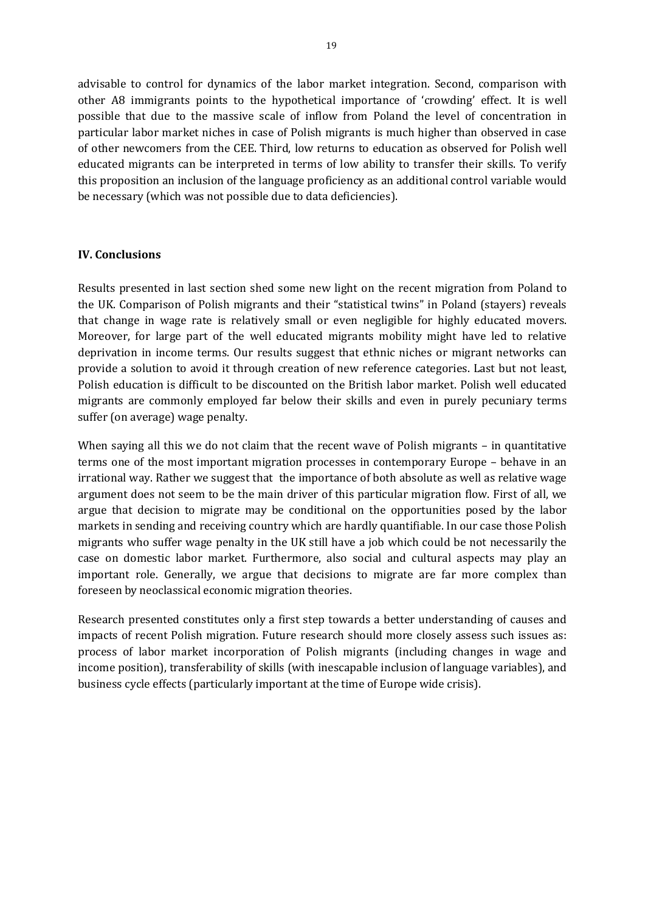advisable to control for dynamics of the labor market integration. Second, comparison with other A8 immigrants points to the hypothetical importance of 'crowding' effect. It is well possible that due to the massive scale of inflow from Poland the level of concentration in particular labor market niches in case of Polish migrants is much higher than observed in case of other newcomers from the CEE. Third, low returns to education as observed for Polish well educated migrants can be interpreted in terms of low ability to transfer their skills. To verify this proposition an inclusion of the language proficiency as an additional control variable would be necessary (which was not possible due to data deficiencies).

#### **IV. Conclusions**

Results presented in last section shed some new light on the recent migration from Poland to the UK. Comparison of Polish migrants and their "statistical twins" in Poland (stayers) reveals that change in wage rate is relatively small or even negligible for highly educated movers. Moreover, for large part of the well educated migrants mobility might have led to relative deprivation in income terms. Our results suggest that ethnic niches or migrant networks can provide a solution to avoid it through creation of new reference categories. Last but not least, Polish education is difficult to be discounted on the British labor market. Polish well educated migrants are commonly employed far below their skills and even in purely pecuniary terms suffer (on average) wage penalty.

When saying all this we do not claim that the recent wave of Polish migrants - in quantitative terms one of the most important migration processes in contemporary Europe – behave in an irrational way. Rather we suggest that the importance of both absolute as well as relative wage argument does not seem to be the main driver of this particular migration flow. First of all, we argue that decision to migrate may be conditional on the opportunities posed by the labor markets in sending and receiving country which are hardly quantifiable. In our case those Polish migrants who suffer wage penalty in the UK still have a job which could be not necessarily the case on domestic labor market. Furthermore, also social and cultural aspects may play an important role. Generally, we argue that decisions to migrate are far more complex than foreseen by neoclassical economic migration theories.

Research presented constitutes only a first step towards a better understanding of causes and impacts of recent Polish migration. Future research should more closely assess such issues as: process of labor market incorporation of Polish migrants (including changes in wage and income position), transferability of skills (with inescapable inclusion of language variables), and business cycle effects (particularly important at the time of Europe wide crisis).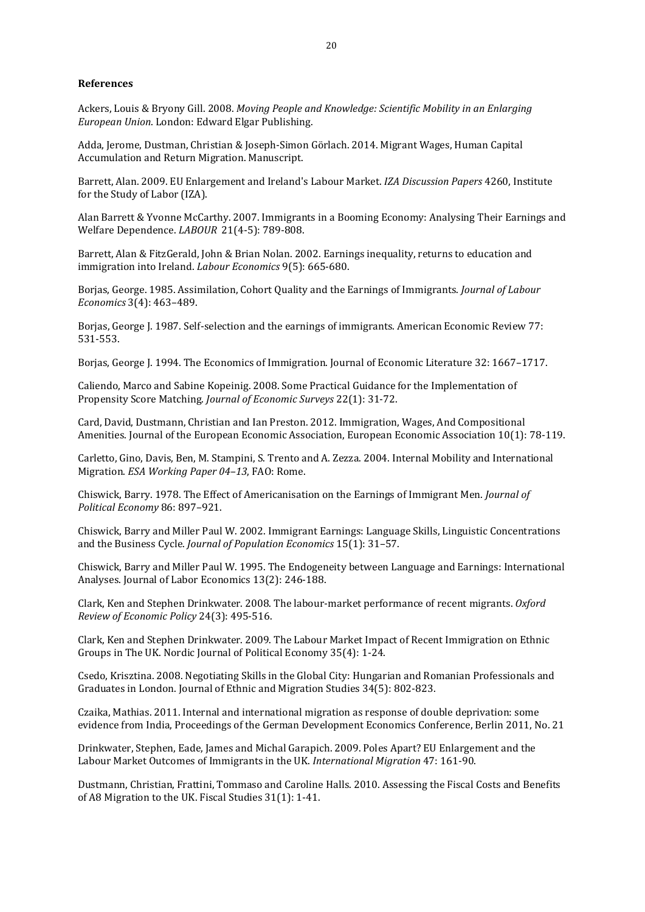#### **References**

Ackers, Louis & Bryony Gill. 2008. *Moving People and Knowledge: Scientific Mobility in an Enlarging European Union*. London: Edward Elgar Publishing.

Adda, Jerome, Dustman, Christian & Joseph-Simon Görlach. 2014. Migrant Wages, Human Capital Accumulation and Return Migration. Manuscript.

Barrett, Alan. 2009. EU Enlargement and Ireland's Labour Market. *IZA Discussion Papers* 4260, Institute for the Study of Labor (IZA).

Alan Barrett & Yvonne McCarthy. 2007. Immigrants in a Booming Economy: Analysing Their Earnings and Welfare Dependence. *LABOUR* 21(4-5): 789-808.

Barrett, Alan & FitzGerald, John & Brian Nolan. 2002. Earnings inequality, returns to education and immigration into Ireland. *Labour Economics* 9(5): 665-680.

Borjas, George. 1985. Assimilation, Cohort Quality and the Earnings of Immigrants. *Journal of Labour Economics* 3(4): 463–489.

Borjas, George J. 1987. Self-selection and the earnings of immigrants. American Economic Review 77: 531-553.

Borjas, George J. 1994. The Economics of Immigration. Journal of Economic Literature 32: 1667–1717.

Caliendo, Marco and Sabine Kopeinig. 2008. Some Practical Guidance for the Implementation of Propensity Score Matching. *Journal of Economic Surveys* 22(1): 31-72.

Card, David, Dustmann, Christian and Ian Preston. 2012. Immigration, Wages, And Compositional Amenities. Journal of the European Economic Association, European Economic Association 10(1): 78-119.

Carletto, Gino, Davis, Ben, M. Stampini, S. Trento and A. Zezza. 2004. Internal Mobility and International Migration. *ESA Working Paper 04–13*, FAO: Rome.

Chiswick, Barry. 1978. The Effect of Americanisation on the Earnings of Immigrant Men. *Journal of Political Economy* 86: 897–921.

Chiswick, Barry and Miller Paul W. 2002. Immigrant Earnings: Language Skills, Linguistic Concentrations and the Business Cycle. *Journal of Population Economics* 15(1): 31–57.

Chiswick, Barry and Miller Paul W. 1995. The Endogeneity between Language and Earnings: International Analyses. Journal of Labor Economics 13(2): 246-188.

Clark, Ken and Stephen Drinkwater. 2008. The labour-market performance of recent migrants. *Oxford Review of Economic Policy* 24(3): 495-516.

Clark, Ken and Stephen Drinkwater. 2009. The Labour Market Impact of Recent Immigration on Ethnic Groups in The UK. Nordic Journal of Political Economy 35(4): 1-24.

Csedo, Krisztina. 2008. Negotiating Skills in the Global City: Hungarian and Romanian Professionals and Graduates in London. Journal of Ethnic and Migration Studies 34(5): 802-823.

Czaika, Mathias. 2011. Internal and international migration as response of double deprivation: some evidence from India, Proceedings of the German Development Economics Conference, Berlin 2011, No. 21

Drinkwater, Stephen, Eade, James and Michal Garapich. 2009. Poles Apart? EU Enlargement and the Labour Market Outcomes of Immigrants in the UK. *International Migration* 47: 161-90.

Dustmann, Christian, Frattini, Tommaso and Caroline Halls. 2010. Assessing the Fiscal Costs and Benefits of A8 Migration to the UK. Fiscal Studies 31(1): 1-41.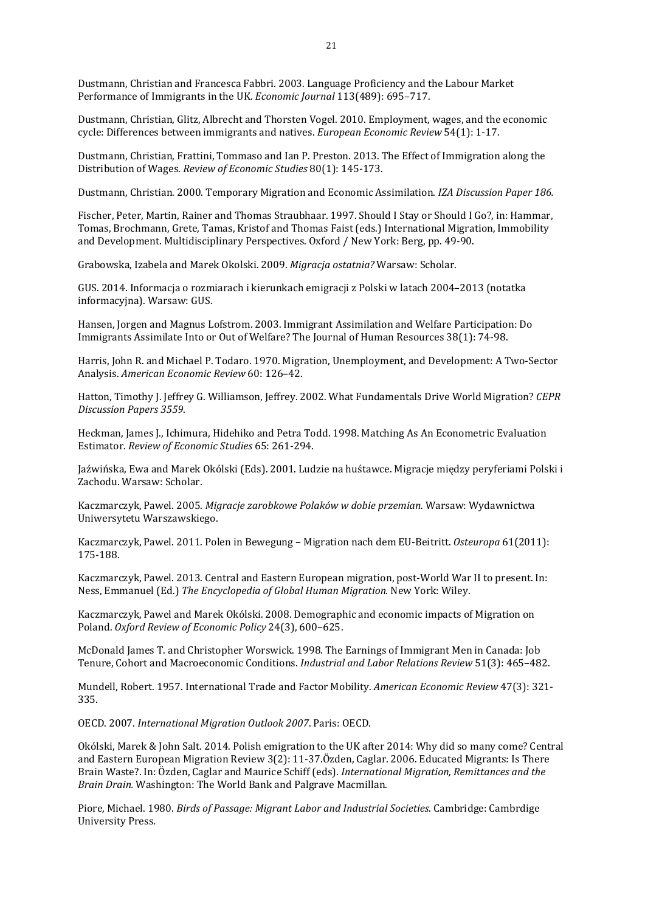Dustmann, Christian and Francesca Fabbri. 2003. Language Proficiency and the Labour Market Performance of Immigrants in the UK. *Economic Journal* 113(489): 695–717.

Dustmann, Christian, Glitz, Albrecht and Thorsten Vogel. 2010. Employment, wages, and the economic cycle: Differences between immigrants and natives. *European Economic Review* 54(1): 1-17.

Dustmann, Christian, Frattini, Tommaso and Ian P. Preston. 2013. The Effect of Immigration along the Distribution of Wages. *Review of Economic Studies* 80(1): 145-173.

Dustmann, Christian. 2000. Temporary Migration and Economic Assimilation. *IZA Discussion Paper 186.*

Fischer, Peter, Martin, Rainer and Thomas Straubhaar. 1997. Should I Stay or Should I Go?, in: Hammar, Tomas, Brochmann, Grete, Tamas, Kristof and Thomas Faist (eds.) International Migration, Immobility and Development. Multidisciplinary Perspectives. Oxford / New York: Berg, pp. 49-90.

Grabowska, Izabela and Marek Okolski. 2009. *Migracja ostatnia?* Warsaw: Scholar.

GUS. 2014. Informacja o rozmiarach i kierunkach emigracji z Polski w latach 2004–2013 (notatka informacyjna). Warsaw: GUS.

Hansen, Jorgen and Magnus Lofstrom. 2003. Immigrant Assimilation and Welfare Participation: Do Immigrants Assimilate Into or Out of Welfare? The Journal of Human Resources 38(1): 74-98.

Harris, John R. and Michael P. Todaro. 1970. Migration, Unemployment, and Development: A Two-Sector Analysis. *American Economic Review* 60: 126–42.

Hatton, Timothy J. Jeffrey G. Williamson, Jeffrey. 2002. What Fundamentals Drive World Migration? *CEPR Discussion Papers 3559*.

Heckman, James J., Ichimura, Hidehiko and Petra Todd. 1998. Matching As An Econometric Evaluation Estimator. *Review of Economic Studies* 65: 261-294.

Jaźwińska, Ewa and Marek Okólski (Eds). 2001. Ludzie na huśtawce. Migracje między peryferiami Polski i Zachodu. Warsaw: Scholar.

Kaczmarczyk, Pawel. 2005. *Migracje zarobkowe Polaków w dobie przemian.* Warsaw: Wydawnictwa Uniwersytetu Warszawskiego.

Kaczmarczyk, Pawel. 2011. Polen in Bewegung – Migration nach dem EU-Beitritt. *Osteuropa* 61(2011): 175-188.

Kaczmarczyk, Pawel. 2013. Central and Eastern European migration, post-World War II to present. In: Ness, Emmanuel (Ed.) *The Encyclopedia of Global Human Migration.* New York: Wiley.

Kaczmarczyk, Pawel and Marek Okólski. 2008. Demographic and economic impacts of Migration on Poland. *Oxford Review of Economic Policy* 24(3), 600–625.

McDonald James T. and Christopher Worswick. 1998. The Earnings of Immigrant Men in Canada: Job Tenure, Cohort and Macroeconomic Conditions. *Industrial and Labor Relations Review* 51(3): 465–482.

Mundell, Robert. 1957. International Trade and Factor Mobility. *American Economic Review* 47(3): 321- 335.

OECD. 2007. *International Migration Outlook 2007*. Paris: OECD.

Okólski, Marek & John Salt. 2014. Polish emigration to the UK after 2014: Why did so many come? Central and Eastern European Migration Review 3(2): 11-37.Özden, Caglar. 2006. Educated Migrants: Is There Brain Waste?. In: Özden, Caglar and Maurice Schiff (eds). *International Migration, Remittances and the Brain Drain.* Washington: The World Bank and Palgrave Macmillan.

Piore, Michael. 1980. *Birds of Passage: Migrant Labor and Industrial Societies*. Cambridge: Cambrdige University Press.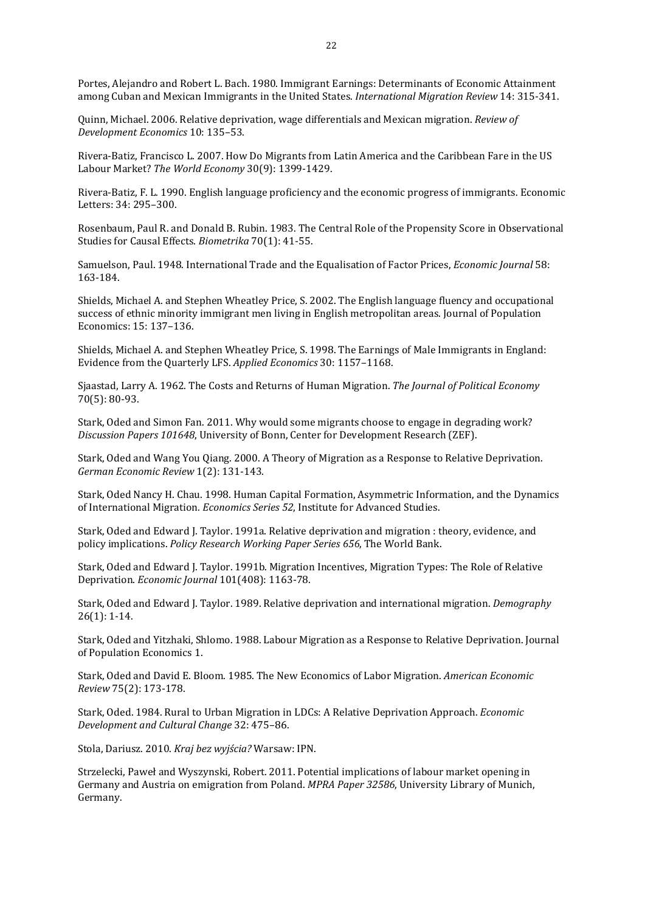Portes, Alejandro and Robert L. Bach. 1980. Immigrant Earnings: Determinants of Economic Attainment among Cuban and Mexican Immigrants in the United States. *International Migration Review* 14: 315-341.

Quinn, Michael. 2006. Relative deprivation, wage differentials and Mexican migration. *Review of Development Economics* 10: 135–53.

Rivera-Batiz, Francisco L. 2007. How Do Migrants from Latin America and the Caribbean Fare in the US Labour Market? *The World Economy* 30(9): 1399-1429.

Rivera-Batiz, F. L. 1990. English language proficiency and the economic progress of immigrants. Economic Letters: 34: 295–300.

Rosenbaum, Paul R. and Donald B. Rubin. 1983. The Central Role of the Propensity Score in Observational Studies for Causal Effects. *Biometrika* 70(1): 41-55.

Samuelson, Paul. 1948. International Trade and the Equalisation of Factor Prices, *Economic Journal* 58: 163-184.

Shields, Michael A. and Stephen Wheatley Price, S. 2002. The English language fluency and occupational success of ethnic minority immigrant men living in English metropolitan areas. Journal of Population Economics: 15: 137–136.

Shields, Michael A. and Stephen Wheatley Price, S. 1998. The Earnings of Male Immigrants in England: Evidence from the Quarterly LFS. *Applied Economics* 30: 1157–1168.

Sjaastad, Larry A. 1962. The Costs and Returns of Human Migration. *The Journal of Political Economy*  70(5): 80-93.

Stark, Oded and Simon Fan. 2011. Why would some migrants choose to engage in degrading work? *Discussion Papers 101648*, University of Bonn, Center for Development Research (ZEF).

Stark, Oded and Wang You Qiang. 2000. A Theory of Migration as a Response to Relative Deprivation. *German Economic Review* 1(2): 131-143.

Stark, Oded Nancy H. Chau. 1998. Human Capital Formation, Asymmetric Information, and the Dynamics of International Migration. *Economics Series 52*, Institute for Advanced Studies.

Stark, Oded and Edward J. Taylor. 1991a. Relative deprivation and migration : theory, evidence, and policy implications. *Policy Research Working Paper Series 656*, The World Bank.

Stark, Oded and Edward J. Taylor. 1991b. Migration Incentives, Migration Types: The Role of Relative Deprivation. *Economic Journal* 101(408): 1163-78.

Stark, Oded and Edward J. Taylor. 1989. Relative deprivation and international migration. *Demography* 26(1): 1-14.

Stark, Oded and Yitzhaki, Shlomo. 1988. Labour Migration as a Response to Relative Deprivation. Journal of Population Economics 1.

Stark, Oded and David E. Bloom. 1985. The New Economics of Labor Migration. *American Economic Review* 75(2): 173-178.

Stark, Oded. 1984. Rural to Urban Migration in LDCs: A Relative Deprivation Approach. *Economic Development and Cultural Change* 32: 475–86.

Stola, Dariusz. 2010. *Kraj bez wyjścia?* Warsaw: IPN.

Strzelecki, Paweł and Wyszynski, Robert. 2011. Potential implications of labour market opening in Germany and Austria on emigration from Poland. *MPRA Paper 32586*, University Library of Munich, Germany.